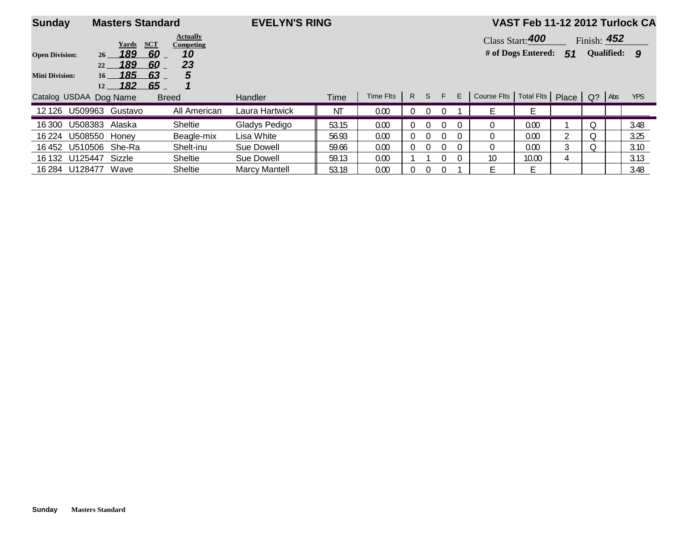| <b>Sunday</b>         |                                | <b>Masters Standard</b> |                              | <b>EVELYN'S RING</b> |       |           |          |          |                  |          |                          | VAST Feb 11-12 2012 Turlock CA |                  |               |              |            |
|-----------------------|--------------------------------|-------------------------|------------------------------|----------------------|-------|-----------|----------|----------|------------------|----------|--------------------------|--------------------------------|------------------|---------------|--------------|------------|
|                       |                                | SCT<br>Yards            | <b>Actually</b><br>Competing |                      |       |           |          |          |                  |          |                          | Class Start: 400               |                  | Finish: $452$ |              |            |
| <b>Open Division:</b> | 26                             | 189<br>60               | 10                           |                      |       |           |          |          |                  |          |                          | # of Dogs Entered:             | 51               |               | Qualified: 9 |            |
| <b>Mini Division:</b> | 22<br>$16 - 185$<br>$12 - 182$ | 189<br>60<br>63<br>65   | 23<br>5                      |                      |       |           |          |          |                  |          |                          |                                |                  |               |              |            |
|                       | Catalog USDAA Dog Name         |                         | <b>Breed</b>                 | <b>Handler</b>       | Time  | Time Flts | R        | S.       | F.               | E        | Course Flts   Total Flts |                                | Place $\vert$ Q? |               | Abs          | <b>YPS</b> |
|                       | 12 126 U509963 Gustavo         |                         | All American                 | Laura Hartwick       | ΝT    | 0.00      | 0        | $\Omega$ |                  |          |                          |                                |                  |               |              |            |
| 16 300                | U508383 Alaska                 |                         | <b>Sheltie</b>               | Gladys Pedigo        | 53.15 | 0.00      | 0        | $\Omega$ | $\left( \right)$ | $\Omega$ | $\Omega$                 | 0.00                           |                  | Q             |              | 3.48       |
| 16 224                | U508550 Honey                  |                         | Beagle-mix                   | Lisa White           | 56.93 | 0.00      | 0        | $\Omega$ |                  | $\Omega$ | $\Omega$                 | 0.00                           | C.               | $\circ$       |              | 3.25       |
| 16 452                | U510506 She-Ra                 |                         | Shelt-inu                    | Sue Dowell           | 59.66 | 0.00      | $\Omega$ | $\Omega$ |                  | $\Omega$ | $\Omega$                 | 0.00                           | 3                | O             |              | 3.10       |
|                       | 16 132 U125447 Sizzle          |                         | <b>Sheltie</b>               | Sue Dowell           | 59.13 | 0.00      |          |          |                  |          | 10                       | 10.00                          | 4                |               |              | 3.13       |
| 16 284 U128477        | Wave                           |                         | <b>Sheltie</b>               | <b>Marcy Mantell</b> | 53.18 | 0.00      | 0        | $\Omega$ |                  |          | E.                       |                                |                  |               |              | 3.48       |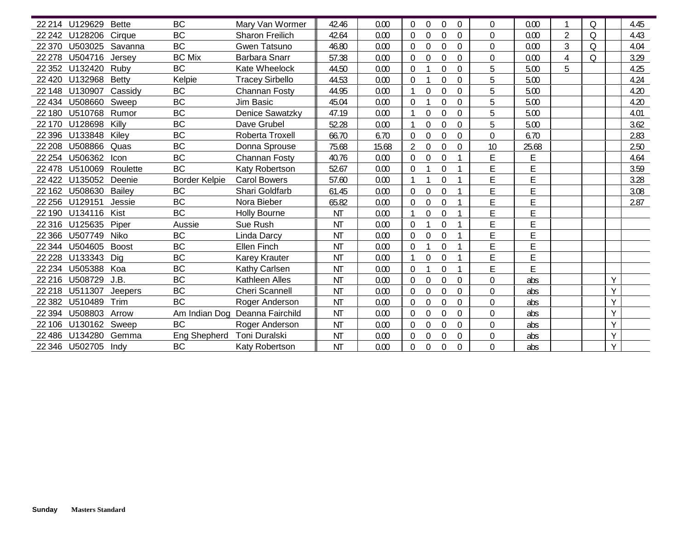|         | 22 214 U129629       | <b>Bette</b> | <b>BC</b>            | Mary Van Wormer        | 42.46     | 0.00  | $\Omega$<br>$\Omega$<br>$\mathbf{0}$<br>$\mathbf{0}$ | 0              | 0.00  |                | Q       |   | 4.45 |
|---------|----------------------|--------------|----------------------|------------------------|-----------|-------|------------------------------------------------------|----------------|-------|----------------|---------|---|------|
|         | 22 242 U128206       | Cirque       | <b>BC</b>            | <b>Sharon Freilich</b> | 42.64     | 0.00  | $\Omega$<br>$\theta$<br>$\theta$<br>$\Omega$         | $\Omega$       | 0.00  | $\overline{2}$ | Q       |   | 4.43 |
|         | 22 370 U503025       | Savanna      | <b>BC</b>            | Gwen Tatsuno           | 46.80     | 0.00  | 0<br>0<br>$\Omega$<br>$\Omega$                       | 0              | 0.00  | 3              | Q       |   | 4.04 |
| 22 278  | U504716              | Jersey       | <b>BC Mix</b>        | <b>Barbara Snarr</b>   | 57.38     | 0.00  | $\theta$<br>$\Omega$<br>$\mathbf 0$<br>$\Omega$      | 0              | 0.00  | 4              | $\circ$ |   | 3.29 |
|         | 22 352 U132420       | Ruby         | <b>BC</b>            | Kate Wheelock          |           | 0.00  | $\theta$<br>0                                        | 5              | 5.00  | 5              |         |   |      |
|         | 22 420 U132968       |              | Kelpie               |                        | 44.50     |       | $\Omega$                                             | 5              |       |                |         |   | 4.25 |
|         |                      | <b>Betty</b> |                      | <b>Tracey Sirbello</b> | 44.53     | 0.00  | $\Omega$<br>$\theta$<br>0                            |                | 5.00  |                |         |   | 4.24 |
|         | 22 148 U130907       | Cassidy      | <b>BC</b>            | Channan Fosty          | 44.95     | 0.00  | 0<br>$\theta$<br>$\Omega$                            | 5              | 5.00  |                |         |   | 4.20 |
|         | 22 434 U508660       | Sweep        | <b>BC</b>            | Jim Basic              | 45.04     | 0.00  | $\Omega$<br>$\theta$<br>$\Omega$                     | 5              | 5.00  |                |         |   | 4.20 |
| 22 180  | U510768              | Rumor        | <b>BC</b>            | <b>Denice Sawatzky</b> | 47.19     | 0.00  | 0<br>$\mathbf{0}$<br>$\Omega$                        | 5              | 5.00  |                |         |   | 4.01 |
|         | 22 170 U128698       | Killy        | <b>BC</b>            | Dave Grubel            | 52.28     | 0.00  | 0<br>$\Omega$<br>$\Omega$                            | 5              | 5.00  |                |         |   | 3.62 |
|         | 22 396 U133848       | Kiley        | <b>BC</b>            | Roberta Troxell        | 66.70     | 6.70  | 0<br>0<br>$\Omega$<br>$\overline{0}$                 | 0              | 6.70  |                |         |   | 2.83 |
|         | 22 208 U508866       | Quas         | <b>BC</b>            | Donna Sprouse          | 75.68     | 15.68 | 2<br>$\theta$<br>0<br>$\Omega$                       | 10             | 25.68 |                |         |   | 2.50 |
| 22 254  | U506362              | Icon         | <b>BC</b>            | <b>Channan Fosty</b>   | 40.76     | 0.00  | $\theta$<br>$\Omega$<br>$\theta$                     | E              | E     |                |         |   | 4.64 |
|         | 22 478 U510069       | Roulette     | <b>BC</b>            | Katy Robertson         | 52.67     | 0.00  | $\mathbf 0$<br>$\Omega$                              | E              | E     |                |         |   | 3.59 |
|         | 22 422 U135052       | Deenie       | <b>Border Kelpie</b> | <b>Carol Bowers</b>    | 57.60     | 0.00  | $\mathbf 0$                                          | E              | E     |                |         |   | 3.28 |
|         | 22 162 U508630       | Bailey       | <b>BC</b>            | Shari Goldfarb         | 61.45     | 0.00  | $\theta$<br>$\Omega$<br>$\Omega$                     | E              | E     |                |         |   | 3.08 |
|         | 22 256 U129151       | Jessie       | <b>BC</b>            | Nora Bieber            | 65.82     | 0.00  | $\theta$<br>$\theta$<br>$\Omega$                     | E              | E     |                |         |   | 2.87 |
|         | 22 190 U134116       | Kist         | <b>BC</b>            | <b>Holly Bourne</b>    | NT        | 0.00  | 0<br>$\Omega$                                        | E              | E     |                |         |   |      |
|         | 22 316 U125635       | Piper        | Aussie               | Sue Rush               | NT        | 0.00  | $\Omega$<br>$\theta$                                 | E              | F     |                |         |   |      |
|         | 22 366 U507749       | Niko         | <b>BC</b>            | Linda Darcy            | NT        | 0.00  | $\Omega$<br>$\theta$<br>$\Omega$                     | E              | E     |                |         |   |      |
|         | 22 344 U504605       | Boost        | BC                   | Ellen Finch            | NT        | 0.00  | $\Omega$<br>$\Omega$                                 | E              | E     |                |         |   |      |
| 22 2 28 | U133343              | Dig          | <b>BC</b>            | <b>Karey Krauter</b>   | <b>NT</b> | 0.00  | $\theta$<br>$\Omega$                                 | E              | E     |                |         |   |      |
| 22 234  | U505388              | Koa          | <b>BC</b>            | Kathy Carlsen          | NT        | 0.00  | $\Omega$<br>$\mathbf{0}$                             | E              | E     |                |         |   |      |
|         | 22 216 U508729       | J.B.         | <b>BC</b>            | Kathleen Alles         | <b>NT</b> | 0.00  | $\overline{0}$<br>0<br>$\mathbf{0}$<br>$\Omega$      | 0              | abs   |                |         | Y |      |
|         | 22 218 U511307       | Jeepers      | <b>BC</b>            | <b>Cheri Scannell</b>  | <b>NT</b> | 0.00  | $\overline{0}$<br>$\Omega$<br>0<br>$\Omega$          | $\overline{0}$ | abs   |                |         |   |      |
| 22 382  | U510489              | Trim         | <b>BC</b>            | Roger Anderson         | <b>NT</b> | 0.00  | $\mathbf 0$<br>$\Omega$<br>$\theta$<br>$\Omega$      | 0              | abs   |                |         | Y |      |
| 22 394  | U508803              | Arrow        | Am Indian Dog        | Deanna Fairchild       | <b>NT</b> | 0.00  | $\theta$<br>$\mathbf 0$<br>$\Omega$<br>$\theta$      | $\overline{0}$ | abs   |                |         | Y |      |
|         | 22 106 U130162 Sweep |              | <b>BC</b>            | Roger Anderson         | <b>NT</b> | 0.00  | 0<br>0<br>$\theta$<br>$\overline{0}$                 | 0              | abs   |                |         | Y |      |
|         | 22 486 U134280 Gemma |              | Eng Shepherd         | Toni Duralski          | <b>NT</b> | 0.00  | 0<br>$\theta$<br>$\Omega$<br>$\Omega$                | 0              | abs   |                |         | Y |      |
|         | 22 346 U502705 Indy  |              | BC                   | Katy Robertson         | <b>NT</b> | 0.00  | $\mathbf 0$<br>$\overline{0}$<br>0<br>$\Omega$       | 0              | abs   |                |         | Y |      |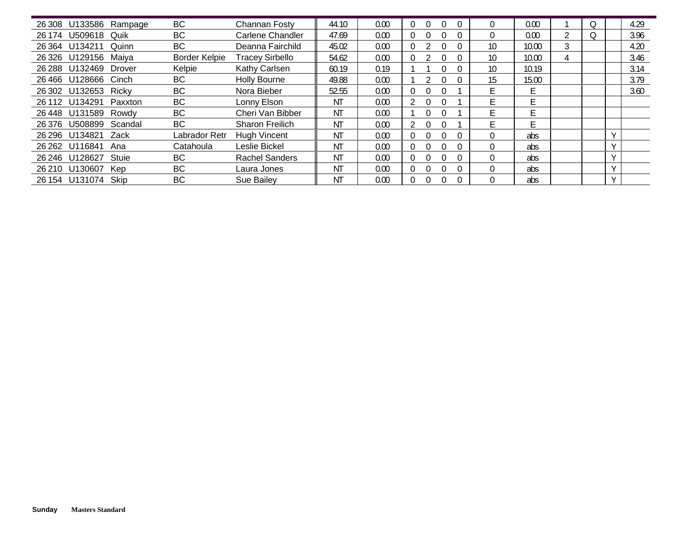| 26 308 U133586 Rampage |            | <b>BC</b>            | Channan Fosty          | 44.10 | 0.00 |                                  |    | 0.00  |   |  | 4.29 |
|------------------------|------------|----------------------|------------------------|-------|------|----------------------------------|----|-------|---|--|------|
| U509618<br>26 174      | Quik       | <b>BC</b>            | Carlene Chandler       | 47.69 | 0.00 |                                  |    | 0.00  |   |  | 3.96 |
| 26 364<br>U134211      | Quinn      | <b>BC</b>            | Deanna Fairchild       | 45.02 | 0.00 |                                  | 10 | 10.00 | 3 |  | 4.20 |
| 26 326 U129156 Maiya   |            | <b>Border Kelpie</b> | <b>Tracey Sirbello</b> | 54.62 | 0.00 |                                  | 10 | 10.00 |   |  | 3.46 |
| 26 288 U132469         | Drover     | Kelpie               | Kathy Carlsen          | 60.19 | 0.19 |                                  | 10 | 10.19 |   |  | 3.14 |
| 26 466 U128666 Cinch   |            | <b>BC</b>            | Holly Bourne           | 49.88 | 0.00 |                                  | 15 | 15.00 |   |  | 3.79 |
| 26 302 U132653 Ricky   |            | BC                   | Nora Bieber            | 52.55 | 0.00 | $\theta$<br>$\Omega$             |    | E     |   |  | 3.60 |
| 26 112<br>U134291      | Paxxton    | <b>BC</b>            | Lonny Elson            | ΝT    | 0.00 |                                  |    |       |   |  |      |
| 26 448 U131589 Rowdy   |            | <b>BC</b>            | Cheri Van Bibber       | ΝT    | 0.00 | $\Omega$                         |    | E.    |   |  |      |
| 26 376 U508899         | Scandal    | <b>BC</b>            | <b>Sharon Freilich</b> | ΝT    | 0.00 |                                  |    | F.    |   |  |      |
| 26 296 U134821         | Zack       | Labrador Retr        | <b>Hugh Vincent</b>    | ΝT    | 0.00 |                                  |    | abs   |   |  |      |
| 26 262 U116841         | Ana        | Catahoula            | Leslie Bickel          | ΝT    | 0.00 | $\Omega$<br>$\Omega$<br>$\Omega$ |    | abs   |   |  |      |
| 26 246 U128627         | Stuie      | <b>BC</b>            | <b>Rachel Sanders</b>  | ΝT    | 0.00 | $\Omega$                         |    | abs   |   |  |      |
| U130607<br>26 210      | <b>Kep</b> | BC                   | Laura Jones            | ΝT    | 0.00 | $\Omega$<br>O                    |    | abs   |   |  |      |
| 26 154 U131074         | Skip       | <b>BC</b>            | Sue Bailey             | ΝT    | 0.00 |                                  |    | abs   |   |  |      |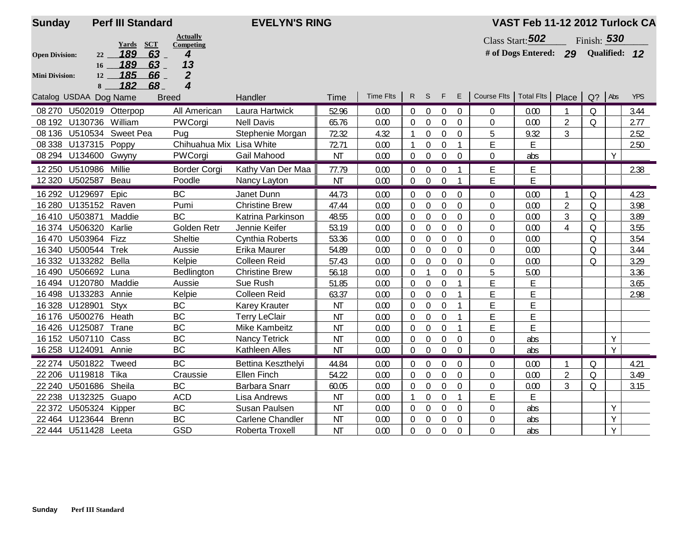| <b>Sunday</b>         | <b>Perf III Standard</b>                                      |                          | <b>EVELYN'S RING</b>    |           |                  |                |                  |                |                |                                  | VAST Feb 11-12 2012 Turlock CA |                |               |   |            |
|-----------------------|---------------------------------------------------------------|--------------------------|-------------------------|-----------|------------------|----------------|------------------|----------------|----------------|----------------------------------|--------------------------------|----------------|---------------|---|------------|
|                       |                                                               | <b>Actually</b>          |                         |           |                  |                |                  |                |                |                                  | Class Start: 502               |                | Finish: 530   |   |            |
| <b>Open Division:</b> | <b>Yards</b><br>$\overline{\text{SCT}}$<br>189<br>$63-$<br>22 | Competing<br>4           |                         |           |                  |                |                  |                |                |                                  | # of Dogs Entered: 29          |                | Qualified: 12 |   |            |
|                       | 189<br>63<br>16                                               | 13                       |                         |           |                  |                |                  |                |                |                                  |                                |                |               |   |            |
| <b>Mini Division:</b> | 185<br>$66-$<br>12                                            | $\boldsymbol{2}$         |                         |           |                  |                |                  |                |                |                                  |                                |                |               |   |            |
|                       | 182<br>68<br>8                                                | 4                        |                         |           | <b>Time Flts</b> | $R$ S          |                  | F              | E              | Course Flts   Total Flts   Place |                                |                |               |   | <b>YPS</b> |
|                       | Catalog USDAA Dog Name<br><b>Breed</b>                        |                          | Handler                 | Time      |                  |                |                  |                |                |                                  |                                |                | Q? Abs        |   |            |
|                       | 08 270 U502019 Otterpop                                       | All American             | Laura Hartwick          | 52.96     | 0.00             | 0              | $\overline{0}$   | $\Omega$       | $\Omega$       | $\mathbf{0}$                     | 0.00                           |                | $\Omega$      |   | 3.44       |
| 08 192 U130736        | William                                                       | PWCorgi                  | <b>Nell Davis</b>       | 65.76     | 0.00             | 0              | $\theta$         | $\Omega$       | $\Omega$       | $\Omega$                         | 0.00                           | $\overline{2}$ | $\Omega$      |   | 2.77       |
|                       | 08 136 U510534 Sweet Pea                                      | Pug                      | Stephenie Morgan        | 72.32     | 4.32             |                | $\mathbf 0$      | $\overline{0}$ | $\overline{0}$ | 5                                | 9.32                           | 3              |               |   | 2.52       |
|                       | 08 338 U137315 Poppy                                          | Chihuahua Mix Lisa White |                         | 72.71     | 0.00             | 1              | $\mathbf 0$      | $\Omega$       | $\mathbf{1}$   | E                                | E                              |                |               |   | 2.50       |
|                       | 08 294 U134600 Gwyny                                          | PWCorgi                  | Gail Mahood             | <b>NT</b> | 0.00             | $\Omega$       | $\mathbf 0$      | $\overline{0}$ | $\overline{0}$ | $\mathbf{0}$                     | abs                            |                |               | Y |            |
|                       | 12 250 U510986 Millie                                         | <b>Border Corgi</b>      | Kathy Van Der Maa       | 77.79     | 0.00             | $\Omega$       | $\Omega$         | $\theta$       |                | E.                               | E                              |                |               |   | 2.38       |
|                       | 12 320 U502587 Beau                                           | Poodle                   | Nancy Layton            | <b>NT</b> | 0.00             | $\overline{0}$ | $\boldsymbol{0}$ | $\mathbf 0$    |                | E                                | E                              |                |               |   |            |
| 16 292 U129697        | Epic                                                          | <b>BC</b>                | Janet Dunn              | 44.73     | 0.00             | $\overline{0}$ | $\boldsymbol{0}$ | $\mathbf 0$    | $\mathbf 0$    | 0                                | 0.00                           | 1              | Q             |   | 4.23       |
| 16 280                | U135152 Raven                                                 | Pumi                     | <b>Christine Brew</b>   | 47.44     | 0.00             | 0              | $\mathbf 0$      | $\overline{0}$ | $\overline{0}$ | 0                                | 0.00                           | $\overline{2}$ | $\Omega$      |   | 3.98       |
| 16 410 U503871        | Maddie                                                        | <b>BC</b>                | Katrina Parkinson       | 48.55     | 0.00             | 0              | $\boldsymbol{0}$ | $\mathbf 0$    | $\mathbf 0$    | 0                                | 0.00                           | $\mathfrak{Z}$ | $\Omega$      |   | 3.89       |
| 16 374 U506320        | Karlie                                                        | Golden Retr              | Jennie Keifer           | 53.19     | 0.00             | $\theta$       | $\mathbf 0$      | $\overline{0}$ | $\mathbf{0}$   | $\overline{0}$                   | 0.00                           | $\overline{4}$ | $\Omega$      |   | 3.55       |
| 16470                 | U503964<br>Fizz                                               | Sheltie                  | <b>Cynthia Roberts</b>  | 53.36     | 0.00             | 0              | $\mathbf 0$      | $\overline{0}$ | $\mathbf{0}$   | $\overline{0}$                   | 0.00                           |                | $\Omega$      |   | 3.54       |
| 16 340                | U500544<br><b>Trek</b>                                        | Aussie                   | Erika Maurer            | 54.89     | 0.00             | $\Omega$       | $\overline{0}$   | $\Omega$       | $\theta$       | 0                                | 0.00                           |                | $\Omega$      |   | 3.44       |
| 16 3 32               | Bella<br>U133282                                              | Kelpie                   | <b>Colleen Reid</b>     | 57.43     | 0.00             | 0              | $\overline{0}$   | $\Omega$       | $\mathbf{0}$   | $\Omega$                         | 0.00                           |                | $\Omega$      |   | 3.29       |
| 16490                 | U506692<br>Luna                                               | Bedlington               | <b>Christine Brew</b>   | 56.18     | 0.00             | 0              | $\mathbf{1}$     | $\mathbf 0$    | $\mathbf 0$    | 5                                | 5.00                           |                |               |   | 3.36       |
|                       | 16 494 U120780 Maddie                                         | Aussie                   | Sue Rush                | 51.85     | 0.00             | $\overline{0}$ | $\overline{0}$   | $\overline{0}$ | 1              | E                                | E                              |                |               |   | 3.65       |
| 16498                 | U133283<br>Annie                                              | Kelpie                   | <b>Colleen Reid</b>     | 63.37     | 0.00             | 0              | $\boldsymbol{0}$ | $\mathbf 0$    | $\mathbf{1}$   | E                                | E                              |                |               |   | 2.98       |
| 16 328 U128901        | <b>Styx</b>                                                   | <b>BC</b>                | <b>Karey Krauter</b>    | <b>NT</b> | 0.00             | $\Omega$       | $\mathbf 0$      | $\overline{0}$ | $\mathbf{1}$   | E                                | E                              |                |               |   |            |
|                       | 16 176 U500276 Heath                                          | BC                       | <b>Terry LeClair</b>    | <b>NT</b> | 0.00             | 0              | $\mathbf 0$      | $\mathbf 0$    | $\mathbf{1}$   | E                                | E                              |                |               |   |            |
| 16 426 U125087        | Trane                                                         | <b>BC</b>                | <b>Mike Kambeitz</b>    | <b>NT</b> | 0.00             | $\Omega$       | $\overline{0}$   | $\theta$       | 1              | E                                | E                              |                |               |   |            |
| 16 152 U507110        | Cass                                                          | <b>BC</b>                | <b>Nancy Tetrick</b>    | <b>NT</b> | 0.00             | $\overline{0}$ | $\mathbf 0$      | $\theta$       | $\Omega$       | $\Omega$                         | abs                            |                |               | Y |            |
| 16 258 U124091        | Annie                                                         | <b>BC</b>                | Kathleen Alles          | <b>NT</b> | 0.00             | $\overline{0}$ | $\boldsymbol{0}$ | $\theta$       | $\Omega$       | $\Omega$                         | abs                            |                |               | Y |            |
| 22 274 U501822        | Tweed                                                         | <b>BC</b>                | Bettina Keszthelyi      | 44.84     | 0.00             | $\Omega$       | $\mathbf 0$      | $\Omega$       | $\Omega$       | $\Omega$                         | 0.00                           | 1              | $\Omega$      |   | 4.21       |
| 22 206 U119818        | Tika                                                          | Craussie                 | <b>Ellen Finch</b>      | 54.22     | 0.00             | 0              | $\mathbf 0$      | $\Omega$       | $\mathbf 0$    | $\overline{0}$                   | 0.00                           | $\overline{2}$ | Q             |   | 3.49       |
| 22 240 U501686        | Sheila                                                        | BC                       | Barbara Snarr           | 60.05     | 0.00             | 0              | $\boldsymbol{0}$ | $\mathbf 0$    | $\mathbf 0$    | 0                                | 0.00                           | 3              | $\Omega$      |   | 3.15       |
| 22 238 U132325        | Guapo                                                         | <b>ACD</b>               | Lisa Andrews            | <b>NT</b> | 0.00             | $\mathbf{1}$   | $\mathbf 0$      | $\overline{0}$ | $\mathbf{1}$   | E                                | E                              |                |               |   |            |
| 22 372                | U505324<br>Kipper                                             | BC                       | Susan Paulsen           | <b>NT</b> | 0.00             | 0              | $\mathbf 0$      | $\overline{0}$ | $\mathbf 0$    | 0                                | abs                            |                |               | Y |            |
| 22 464 U123644        | <b>Brenn</b>                                                  | <b>BC</b>                | <b>Carlene Chandler</b> | <b>NT</b> | 0.00             | $\Omega$       | $\mathbf 0$      | $\mathbf 0$    | $\overline{0}$ | $\overline{0}$                   | abs                            |                |               | Y |            |
|                       | 22 444 U511428 Leeta                                          | <b>GSD</b>               | Roberta Troxell         | <b>NT</b> | 0.00             | 0              | $\boldsymbol{0}$ | $\mathbf 0$    | $\mathbf 0$    | $\overline{0}$                   | abs                            |                |               | Y |            |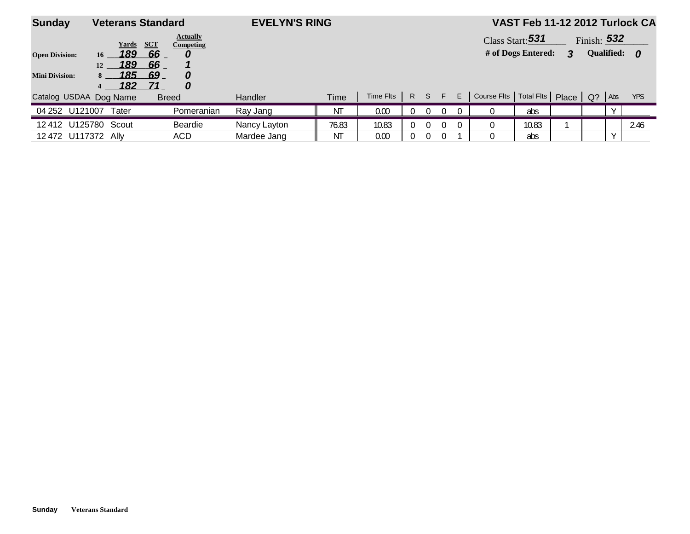| <b>Sunday</b>          | <b>Veterans Standard</b> |                                     | <b>EVELYN'S RING</b> |                |           |   |          |          |    |                                             | VAST Feb 11-12 2012 Turlock CA |   |               |                   |            |
|------------------------|--------------------------|-------------------------------------|----------------------|----------------|-----------|---|----------|----------|----|---------------------------------------------|--------------------------------|---|---------------|-------------------|------------|
|                        | Yards                    | <b>Actually</b><br>SCT<br>Competing |                      |                |           |   |          |          |    |                                             | Class Start: 531               |   | Finish: $532$ |                   |            |
| <b>Open Division:</b>  | 189<br>16                | 66                                  |                      |                |           |   |          |          |    |                                             | # of Dogs Entered:             | 3 |               | <b>Qualified:</b> | - 0        |
|                        | 189<br>12                | 66                                  |                      |                |           |   |          |          |    |                                             |                                |   |               |                   |            |
| <b>Mini Division:</b>  | 185<br>$8 -$             | 69<br>0                             |                      |                |           |   |          |          |    |                                             |                                |   |               |                   |            |
|                        | 182<br>4                 | 71<br>0                             |                      |                |           |   |          |          |    |                                             |                                |   |               |                   |            |
| Catalog USDAA Dog Name |                          | <b>Breed</b>                        | Handler              | <b>Time</b>    | Time Flts | R | S F      |          | E. | Course Fits   Total Fits   Place   Q?   Abs |                                |   |               |                   | <b>YPS</b> |
| U121007<br>04 252      | Tater                    | Pomeranian                          | Ray Jang             | N <sub>T</sub> | 0.00      |   | $\Omega$ | $\Omega$ |    |                                             | abs                            |   |               |                   |            |
| 12 412 U125780 Scout   |                          | Beardie                             | Nancy Layton         | 76.83          | 10.83     |   | 0        | 0        | 0. |                                             | 10.83                          |   |               |                   | 2.46       |
| 12 472 U117372         | – Allv                   | ACD                                 | Mardee Jang          | ΝT             | 0.00      |   | $\Omega$ | $\Omega$ |    |                                             | abs                            |   |               |                   |            |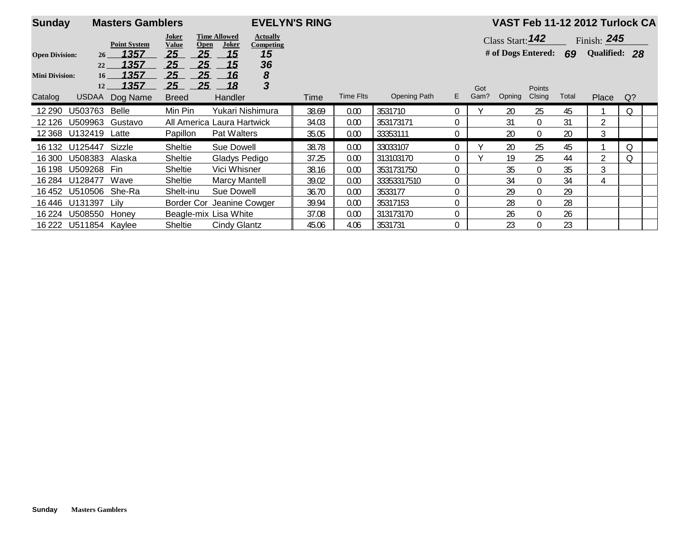| <b>Sunday</b>         | <b>EVELYN'S RING</b><br><b>Masters Gamblers</b> |                     |                                      |                              |                              |       |           |              |             |             |                         |                  |       |               | VAST Feb 11-12 2012 Turlock CA |
|-----------------------|-------------------------------------------------|---------------------|--------------------------------------|------------------------------|------------------------------|-------|-----------|--------------|-------------|-------------|-------------------------|------------------|-------|---------------|--------------------------------|
|                       |                                                 | <b>Point System</b> | Joker<br><b>Value</b><br><b>Open</b> | <b>Time Allowed</b><br>Joker | <b>Actually</b><br>Competing |       |           |              |             |             | Class Start: $142$      |                  |       | Finish: $245$ |                                |
| <b>Open Division:</b> | 26 <sup>1</sup>                                 | 1357                | 25<br>25                             | 15                           | 15                           |       |           |              |             |             | # of Dogs Entered: $69$ |                  |       | Qualified: 28 |                                |
| <b>Mini Division:</b> | 22<br>16                                        | 1357<br>1357        | 25<br>25<br>25<br>25                 | 15<br>16                     | 36<br>8                      |       |           |              |             |             |                         |                  |       |               |                                |
| Catalog               | 12<br><b>USDAA</b>                              | 1357<br>Dog Name    | 25<br>25<br><b>Breed</b>             | 18<br><b>Handler</b>         | $\mathbf{3}$                 | Time  | Time Flts | Opening Path | E.          | Got<br>Gam? | Opning                  | Points<br>Clsing | Total | <b>Place</b>  | Q?                             |
| 12 290                | U503763                                         | <b>Belle</b>        | Min Pin                              | Yukari Nishimura             |                              | 38.69 | 0.00      | 3531710      | $\Omega$    |             | 20                      | 25               | 45    |               | Q                              |
| 12 1 26               | U509963                                         | Gustavo             | All America Laura Hartwick           |                              |                              | 34.03 | 0.00      | 353173171    | $\Omega$    |             | 31                      | $\boldsymbol{0}$ | 31    | 2             |                                |
| 12 3 68               | U132419 Latte                                   |                     | Papillon                             | Pat Walters                  |                              | 35.05 | 0.00      | 33353111     | $\mathbf 0$ |             | 20                      | $\boldsymbol{0}$ | 20    | 3             |                                |
|                       | 16 132 U125447                                  | Sizzle              | Sheltie                              | <b>Sue Dowell</b>            |                              | 38.78 | 0.00      | 33033107     | $\Omega$    |             | 20                      | 25               | 45    |               | Q                              |
| 16 300                | U508383                                         | Alaska              | Sheltie                              | Gladys Pedigo                |                              | 37.25 | 0.00      | 313103170    | $\mathbf 0$ |             | 19                      | 25               | 44    | 2             | Q                              |
| 16 198                | U509268                                         | Fin                 | Sheltie                              | Vici Whisner                 |                              | 38.16 | 0.00      | 3531731750   | $\Omega$    |             | 35                      | $\boldsymbol{0}$ | 35    | 3             |                                |
|                       | 16 284 U128477                                  | Wave                | Sheltie                              | <b>Marcy Mantell</b>         |                              | 39.02 | 0.00      | 33353317510  | $\theta$    |             | 34                      | $\mathbf 0$      | 34    | 4             |                                |
| 16 452                | U510506 She-Ra                                  |                     | Shelt-inu                            | Sue Dowell                   |                              | 36.70 | 0.00      | 3533177      | $\theta$    |             | 29                      | $\boldsymbol{0}$ | 29    |               |                                |
|                       | 16446 U131397                                   | Lily                | Border Cor Jeanine Cowger            |                              |                              | 39.94 | 0.00      | 35317153     | $\Omega$    |             | 28                      | $\mathbf 0$      | 28    |               |                                |
| 16 224                | U508550 Honey                                   |                     | Beagle-mix Lisa White                |                              |                              | 37.08 | 0.00      | 313173170    | $\Omega$    |             | 26                      | $\mathbf 0$      | 26    |               |                                |
|                       | 16 222 U511854 Kaylee                           |                     | <b>Sheltie</b>                       | Cindy Glantz                 |                              | 45.06 | 4.06      | 3531731      | $\Omega$    |             | 23                      | $\Omega$         | 23    |               |                                |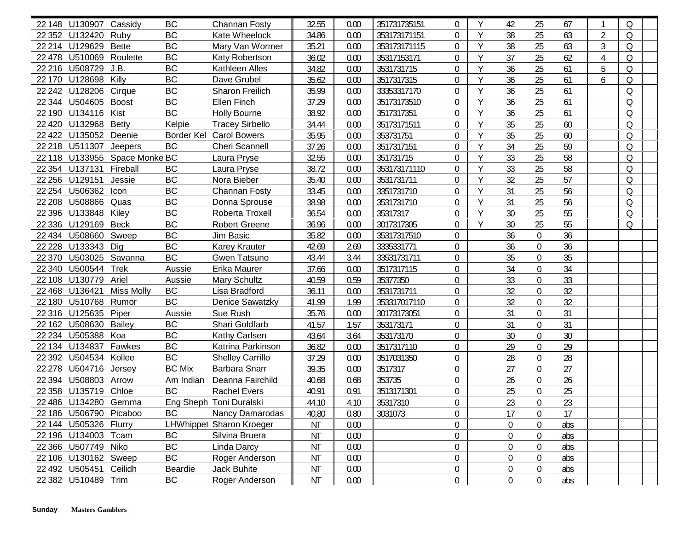|         | 22 148 U130907 Cassidy  |                               | <b>BC</b>     | Channan Fosty                   | 32.55     | 0.00 | 351731735151 | $\mathbf{0}$     | Y | 42             | 25               | 67     | $\mathbf{1}$   | $\Omega$ |  |
|---------|-------------------------|-------------------------------|---------------|---------------------------------|-----------|------|--------------|------------------|---|----------------|------------------|--------|----------------|----------|--|
|         | 22 352 U132420          | Ruby                          | <b>BC</b>     | Kate Wheelock                   | 34.86     | 0.00 | 353173171151 | $\overline{0}$   | Y | 38             | 25               | 63     | $\overline{2}$ | $\Omega$ |  |
|         | 22 214 U129629          | <b>Bette</b>                  | BC            | Mary Van Wormer                 | 35.21     | 0.00 | 353173171115 | $\mathbf 0$      | Y | 38             | 25               | 63     | 3              | Q        |  |
|         | 22 478 U510069 Roulette |                               | <b>BC</b>     | Katy Robertson                  | 36.02     | 0.00 | 35317153171  | $\boldsymbol{0}$ | Y | 37             | 25               | 62     | 4              | Q        |  |
|         | 22 216 U508729 J.B.     |                               | <b>BC</b>     | Kathleen Alles                  | 34.82     | 0.00 | 3531731715   | $\boldsymbol{0}$ | Y | 36             | 25               | 61     | 5              | Q        |  |
|         | 22 170 U128698 Killy    |                               | <b>BC</b>     | Dave Grubel                     | 35.62     | 0.00 | 3517317315   | 0                | Y | 36             | 25               | 61     | 6              | Q        |  |
|         | 22 242 U128206          | Cirque                        | BC            | Sharon Freilich                 | 35.99     | 0.00 | 33353317170  | $\mathbf 0$      | Υ | 36             | 25               | 61     |                | Q        |  |
|         | 22 344 U504605          | <b>Boost</b>                  | BC            | Ellen Finch                     | 37.29     | 0.00 | 35173173510  | $\overline{0}$   | Y | 36             | 25               | 61     |                | Q        |  |
|         | 22 190 U134116          | Kist                          | <b>BC</b>     | <b>Holly Bourne</b>             | 38.92     | 0.00 | 3517317351   | $\boldsymbol{0}$ | Y | 36             | 25               | 61     |                | Q        |  |
| 22 4 20 | U132968                 | <b>Betty</b>                  | Kelpie        | <b>Tracey Sirbello</b>          | 34.44     | 0.00 | 35173171511  | $\boldsymbol{0}$ | Y | 35             | 25               | 60     |                | Q        |  |
|         | 22 422 U135052 Deenie   |                               |               | Border Kel Carol Bowers         | 35.95     | 0.00 | 353731751    | $\boldsymbol{0}$ | Y | 35             | 25               | 60     |                | Q        |  |
|         | 22 218 U511307 Jeepers  |                               | BC            | Cheri Scannell                  | 37.26     | 0.00 | 3517317151   | $\boldsymbol{0}$ | Y | 34             | 25               | 59     |                | Q        |  |
|         |                         | 22 118 U133955 Space Monke BC |               | Laura Pryse                     | 32.55     | 0.00 | 351731715    | $\boldsymbol{0}$ | Y | 33             | 25               | 58     |                | Q        |  |
|         | 22 354 U137131 Fireball |                               | BC            | Laura Pryse                     | 38.72     | 0.00 | 353173171110 | $\overline{0}$   | Y | 33             | 25               | 58     |                | Q        |  |
|         | 22 256 U129151          | Jessie                        | BC            | Nora Bieber                     | 35.40     | 0.00 | 3531731711   | $\mathbf 0$      | Υ | 32             | 25               | 57     |                | Q        |  |
|         | 22 254 U506362 Icon     |                               | BC            | Channan Fosty                   | 33.45     | 0.00 | 3351731710   | $\overline{0}$   | Y | 31             | 25               | 56     |                | Q        |  |
|         | 22 208 U508866 Quas     |                               | BC            | Donna Sprouse                   | 38.98     | 0.00 | 3531731710   | $\mathbf 0$      | Y | 31             | 25               | 56     |                | Q        |  |
|         | 22 396 U133848 Kiley    |                               | BC            | Roberta Troxell                 | 36.54     | 0.00 | 35317317     | $\overline{0}$   | Y | 30             | 25               | 55     |                | Q        |  |
|         | 22 336 U129169          | <b>Beck</b>                   | BC            | <b>Robert Greene</b>            | 36.96     | 0.00 | 3017317305   | $\mathbf 0$      | Y | 30             | 25               | 55     |                | Q        |  |
|         | 22 434 U508660 Sweep    |                               | BC            | Jim Basic                       | 35.82     | 0.00 | 35317317510  | $\boldsymbol{0}$ |   | 36             | $\boldsymbol{0}$ | 36     |                |          |  |
|         | 22 228 U133343 Dig      |                               | <b>BC</b>     | <b>Karey Krauter</b>            | 42.69     | 2.69 | 3335331771   | $\boldsymbol{0}$ |   | 36             | $\boldsymbol{0}$ | 36     |                |          |  |
| 22 370  | U503025 Savanna         |                               | <b>BC</b>     | Gwen Tatsuno                    | 43.44     | 3.44 | 33531731711  | 0                |   | 35             | $\boldsymbol{0}$ | 35     |                |          |  |
| 22 340  | U500544                 | <b>Trek</b>                   | Aussie        | Erika Maurer                    | 37.66     | 0.00 | 3517317115   | $\mathbf 0$      |   | 34             | $\boldsymbol{0}$ | 34     |                |          |  |
|         | 22 108 U130779          | Ariel                         | Aussie        | <b>Mary Schultz</b>             | 40.59     | 0.59 | 35377350     | $\boldsymbol{0}$ |   | 33             | $\boldsymbol{0}$ | 33     |                |          |  |
|         | 22 468 U136421          | <b>Miss Molly</b>             | BC            | Lisa Bradford                   | 36.11     | 0.00 | 3531731711   | $\mathbf 0$      |   | 32             | $\mathbf 0$      | 32     |                |          |  |
|         | 22 180 U510768          | Rumor                         | BC            | <b>Denice Sawatzky</b>          | 41.99     | 1.99 | 353317017110 | $\boldsymbol{0}$ |   | 32             | $\boldsymbol{0}$ | 32     |                |          |  |
|         | 22 316 U125635 Piper    |                               | Aussie        | Sue Rush                        | 35.76     | 0.00 | 30173173051  | $\mathbf 0$      |   | 31             | $\mathbf 0$      | 31     |                |          |  |
|         | 22 162 U508630 Bailey   |                               | BC            | Shari Goldfarb                  | 41.57     | 1.57 | 353173171    | $\boldsymbol{0}$ |   | 31             | $\boldsymbol{0}$ | 31     |                |          |  |
|         | 22 234 U505388 Koa      |                               | $\sf BC$      | Kathy Carlsen                   | 43.64     | 3.64 | 353173170    | $\boldsymbol{0}$ |   | 30             | $\boldsymbol{0}$ | $30\,$ |                |          |  |
|         | 22 134 U134837 Fawkes   |                               | BC            | Katrina Parkinson               | 36.82     | 0.00 | 3517317110   | $\boldsymbol{0}$ |   | 29             | $\boldsymbol{0}$ | 29     |                |          |  |
|         | 22 392 U504534 Kollee   |                               | BC            | <b>Shelley Carrillo</b>         | 37.29     | 0.00 | 3517031350   | $\mathbf 0$      |   | 28             | $\mathbf 0$      | 28     |                |          |  |
|         | 22 278 U504716 Jersey   |                               | <b>BC Mix</b> | <b>Barbara Snarr</b>            | 39.35     | 0.00 | 3517317      | $\boldsymbol{0}$ |   | 27             | $\mathbf 0$      | 27     |                |          |  |
|         | 22 394 U508803 Arrow    |                               | Am Indian     | Deanna Fairchild                | 40.68     | 0.68 | 353735       | $\mathbf 0$      |   | 26             | $\overline{0}$   | 26     |                |          |  |
|         | 22 358 U135719          | Chloe                         | <b>BC</b>     | <b>Rachel Evers</b>             | 40.91     | 0.91 | 3513171301   | $\boldsymbol{0}$ |   | 25             | $\boldsymbol{0}$ | 25     |                |          |  |
|         | 22 486 U134280 Gemma    |                               |               | Eng Sheph Toni Duralski         | 44.10     | 4.10 | 35317310     | $\mathbf 0$      |   | 23             | 0                | 23     |                |          |  |
|         | 22 186 U506790 Picaboo  |                               | BC            | Nancy Damarodas                 | 40.80     | 0.80 | 3031073      | 0                |   | 17             | $\overline{0}$   | 17     |                |          |  |
|         | 22 144 U505326 Flurry   |                               |               | <b>LHWhippet Sharon Kroeger</b> | ΝT        | 0.00 |              | 0                |   | 0              | 0                | abs    |                |          |  |
|         | 22 196 U134003 Tcam     |                               | BC            | Silvina Bruera                  | NT        | 0.00 |              | $\boldsymbol{0}$ |   | 0              | $\boldsymbol{0}$ | abs    |                |          |  |
|         | 22 366 U507749 Niko     |                               | BC            | Linda Darcy                     | <b>NT</b> | 0.00 |              | $\boldsymbol{0}$ |   | $\mathbf{0}$   | $\boldsymbol{0}$ | abs    |                |          |  |
|         | 22 106 U130162 Sweep    |                               | BC            | Roger Anderson                  | <b>NT</b> | 0.00 |              | 0                |   | $\mathbf{0}$   | 0                | abs    |                |          |  |
|         | 22 492 U505451 Ceilidh  |                               | Beardie       | Jack Buhite                     | ΝT        | 0.00 |              | 0                |   | $\overline{0}$ | $\boldsymbol{0}$ | abs    |                |          |  |
|         | 22 382 U510489 Trim     |                               | BC            | Roger Anderson                  | ΝT        | 0.00 |              | 0                |   | 0              | 0                | abs    |                |          |  |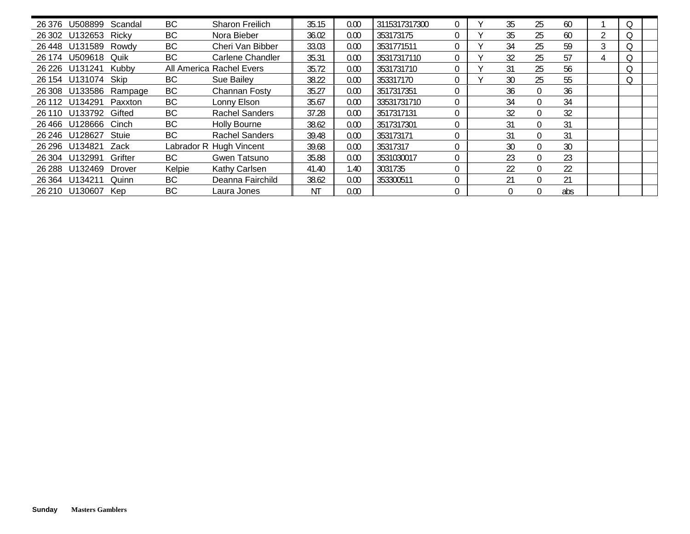| 26 376 U508899         | Scandal                | BC        | Sharon Freilich          | 35.15     | 0.00 | 3115317317300 |             | 35 | 25             | 60  |   |   |  |
|------------------------|------------------------|-----------|--------------------------|-----------|------|---------------|-------------|----|----------------|-----|---|---|--|
| 26 302 U132653 Ricky   |                        | BC        | Nora Bieber              | 36.02     | 0.00 | 353173175     | $\Omega$    | 35 | 25             | 60  | 2 |   |  |
| 26448 U131589          | Rowdy                  | <b>BC</b> | Cheri Van Bibber         | 33.03     | 0.00 | 3531771511    | $\Omega$    | 34 | 25             | 59  | 3 | O |  |
| 26 174 U509618         | Quik                   | BC        | Carlene Chandler         | 35.31     | 0.00 | 35317317110   |             | 32 | 25             | 57  |   |   |  |
| 26 226 U131241 Kubby   |                        |           | All America Rachel Evers | 35.72     | 0.00 | 3531731710    | $\mathbf 0$ | 31 | 25             | 56  |   |   |  |
| 26 154 U131074         | Skip                   | BC        | Sue Bailey               | 38.22     | 0.00 | 353317170     | $\mathbf 0$ | 30 | 25             | 55  |   |   |  |
|                        | 26 308 U133586 Rampage | <b>BC</b> | Channan Fosty            | 35.27     | 0.00 | 3517317351    |             | 36 | $\overline{0}$ | 36  |   |   |  |
| 26 112 U134291 Paxxton |                        | BC        | Lonny Elson              | 35.67     | 0.00 | 33531731710   | $\Omega$    | 34 | $\overline{0}$ | 34  |   |   |  |
| 26 110 U133792         | Gifted                 | <b>BC</b> | <b>Rachel Sanders</b>    | 37.28     | 0.00 | 3517317131    | $\Omega$    | 32 | $\overline{0}$ | 32  |   |   |  |
| 26466 U128666          | Cinch                  | <b>BC</b> | Holly Bourne             | 38.62     | 0.00 | 3517317301    |             | 31 | $\overline{0}$ | 31  |   |   |  |
| 26 246 U128627         | Stuie                  | BC        | <b>Rachel Sanders</b>    | 39.48     | 0.00 | 353173171     |             | 31 | $\overline{0}$ | 31  |   |   |  |
| 26 296 U134821         | Zack                   |           | Labrador R Hugh Vincent  | 39.68     | 0.00 | 35317317      | $\theta$    | 30 | $\Omega$       | 30  |   |   |  |
| 26 304 U132991         | Grifter                | BC        | Gwen Tatsuno             | 35.88     | 0.00 | 3531030017    |             | 23 | $\theta$       | 23  |   |   |  |
| 26 288 U132469         | Drover                 | Kelpie    | Kathy Carlsen            | 41.40     | 1.40 | 3031735       |             | 22 | $\overline{0}$ | 22  |   |   |  |
| 26 364 U134211         | Quinn                  | BC        | Deanna Fairchild         | 38.62     | 0.00 | 353300511     | $\Omega$    | 21 | $\Omega$       | 21  |   |   |  |
| 26 210 U130607         | Kep                    | BC        | Laura Jones              | <b>NT</b> | 0.00 |               | $\mathbf 0$ |    | $\theta$       | abs |   |   |  |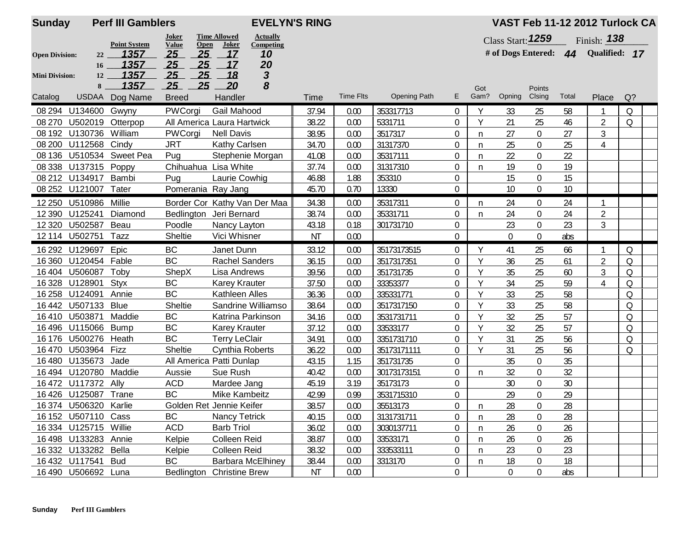| <b>Sunday</b>         | <b>Perf III Gamblers</b> |                     |                               |                              |                    | <b>EVELYN'S RING</b> |                  |                     |                  |      |                     |                  |       | VAST Feb 11-12 2012 Turlock CA      |          |  |
|-----------------------|--------------------------|---------------------|-------------------------------|------------------------------|--------------------|----------------------|------------------|---------------------|------------------|------|---------------------|------------------|-------|-------------------------------------|----------|--|
|                       |                          | <b>Point System</b> | Joker<br><b>Value</b><br>Open | <b>Time Allowed</b><br>Joker | <b>Actually</b>    |                      |                  |                     |                  |      | Class Start: $1259$ |                  |       | Finish: $138$                       |          |  |
| <b>Open Division:</b> | 22                       | 1357                | 25<br>25                      | 17                           | Competing<br>10    |                      |                  |                     |                  |      |                     |                  |       | # of Dogs Entered: 44 Qualified: 17 |          |  |
|                       | 16                       | 1357                | 25<br>25                      | 17                           | 20                 |                      |                  |                     |                  |      |                     |                  |       |                                     |          |  |
| <b>Mini Division:</b> | 12                       | 1357                | 25<br>25                      | <u>18</u>                    | $\mathbf{3}$       |                      |                  |                     |                  |      |                     |                  |       |                                     |          |  |
|                       | $8 -$                    | 1357                | 25<br>25                      | 20                           | 8                  |                      |                  |                     |                  | Got  |                     | Points           |       |                                     |          |  |
| Catalog               |                          | USDAA Dog Name      | <b>Breed</b>                  | Handler                      |                    | Time                 | <b>Time Flts</b> | <b>Opening Path</b> | E.               | Gam? | Opning              | Clsing           | Total | Place                               | $Q$ ?    |  |
| 08 294                | U134600 Gwyny            |                     | PWCorgi                       | Gail Mahood                  |                    | 37.94                | 0.00             | 353317713           | 0                | Y    | 33                  | 25               | 58    | 1                                   | Q        |  |
| 08 270                | U502019 Otterpop         |                     | All America Laura Hartwick    |                              |                    | 38.22                | 0.00             | 5331711             | 0                | Y    | 21                  | 25               | 46    | $\overline{2}$                      | $\Omega$ |  |
|                       | 08 192 U130736           | William             | PWCorgi                       | <b>Nell Davis</b>            |                    | 38.95                | 0.00             | 3517317             | $\boldsymbol{0}$ | n    | 27                  | $\overline{0}$   | 27    | $\mathfrak{Z}$                      |          |  |
| 08 200                | U112568 Cindy            |                     | <b>JRT</b>                    | <b>Kathy Carlsen</b>         |                    | 34.70                | 0.00             | 31317370            | $\mathbf 0$      | n    | 25                  | $\boldsymbol{0}$ | 25    | 4                                   |          |  |
| 08 136                |                          | U510534 Sweet Pea   | Pug                           | Stephenie Morgan             |                    | 41.08                | 0.00             | 35317111            | $\boldsymbol{0}$ | n    | 22                  | $\boldsymbol{0}$ | 22    |                                     |          |  |
|                       | 08 338 U137315 Poppy     |                     | Chihuahua Lisa White          |                              |                    | 37.74                | 0.00             | 31317310            | 0                | n    | 19                  | $\boldsymbol{0}$ | 19    |                                     |          |  |
|                       | 08 212 U134917 Bambi     |                     | Pug                           | Laurie Cowhig                |                    | 46.88                | 1.88             | 353310              | $\boldsymbol{0}$ |      | 15                  | $\boldsymbol{0}$ | 15    |                                     |          |  |
|                       | 08 252 U121007 Tater     |                     | Pomerania Ray Jang            |                              |                    | 45.70                | 0.70             | 13330               | 0                |      | 10                  | $\overline{0}$   | 10    |                                     |          |  |
|                       | 12 250 U510986           | Millie              | Border Cor Kathy Van Der Maa  |                              |                    | 34.38                | 0.00             | 35317311            | $\boldsymbol{0}$ | n    | 24                  | $\overline{0}$   | 24    | $\mathbf{1}$                        |          |  |
|                       | 12 390 U125241           | Diamond             | Bedlington Jeri Bernard       |                              |                    | 38.74                | 0.00             | 35331711            | 0                | n    | 24                  | $\boldsymbol{0}$ | 24    | $\overline{2}$                      |          |  |
| 12 3 20               | U502587 Beau             |                     | Poodle                        | Nancy Layton                 |                    | 43.18                | 0.18             | 301731710           | 0                |      | 23                  | $\boldsymbol{0}$ | 23    | 3                                   |          |  |
|                       | 12 114 U502751 Tazz      |                     | Sheltie                       | Vici Whisner                 |                    | <b>NT</b>            | 0.00             |                     | $\mathbf 0$      |      | $\overline{0}$      | $\boldsymbol{0}$ | abs   |                                     |          |  |
|                       | 16 292 U129697 Epic      |                     | BC                            | Janet Dunn                   |                    | 33.12                | 0.00             | 35173173515         | $\boldsymbol{0}$ | Y    | 41                  | 25               | 66    | $\mathbf{1}$                        | Q        |  |
|                       | 16 360 U120454 Fable     |                     | <b>BC</b>                     | <b>Rachel Sanders</b>        |                    | 36.15                | 0.00             | 3517317351          | 0                | Y    | 36                  | 25               | 61    | $\overline{2}$                      | $\Omega$ |  |
| 16404                 | U506087                  | Toby                | ShepX                         | Lisa Andrews                 |                    | 39.56                | 0.00             | 351731735           | 0                | Y    | 35                  | 25               | 60    | 3                                   | Q        |  |
|                       | 16 328 U128901           | <b>Styx</b>         | BC                            | <b>Karey Krauter</b>         |                    | 37.50                | 0.00             | 33353377            | $\mathbf 0$      | Y    | 34                  | 25               | 59    | 4                                   | Q        |  |
|                       | 16 258 U124091           | Annie               | BC                            | Kathleen Alles               |                    | 36.36                | 0.00             | 335331771           | 0                | Y    | 33                  | 25               | 58    |                                     | Q        |  |
|                       | 16442 U507133            | Blue                | Sheltie                       |                              | Sandrine Williamso | 38.64                | 0.00             | 3517317150          | 0                | Y    | 33                  | 25               | 58    |                                     | Q        |  |
| 16410                 | U503871                  | Maddie              | BC                            | Katrina Parkinson            |                    | 34.16                | 0.00             | 3531731711          | $\boldsymbol{0}$ | Y    | 32                  | 25               | 57    |                                     | Q        |  |
| 16496                 | U115066                  | <b>Bump</b>         | BC                            | <b>Karey Krauter</b>         |                    | 37.12                | 0.00             | 33533177            | $\boldsymbol{0}$ | Y    | 32                  | 25               | 57    |                                     | Q        |  |
| 16 176                | U500276                  | Heath               | BC                            | <b>Terry LeClair</b>         |                    | 34.91                | 0.00             | 3351731710          | $\boldsymbol{0}$ | Y    | 31                  | 25               | 56    |                                     | Q        |  |
|                       | 16 470 U503964 Fizz      |                     | Sheltie                       | Cynthia Roberts              |                    | 36.22                | 0.00             | 35173171111         | 0                | Y    | 31                  | 25               | 56    |                                     | Q        |  |
| 16480                 | U135673 Jade             |                     | All America Patti Dunlap      |                              |                    | 43.15                | 1.15             | 351731735           | 0                |      | 35                  | $\boldsymbol{0}$ | 35    |                                     |          |  |
|                       | 16 494 U120780 Maddie    |                     | Aussie                        | Sue Rush                     |                    | 40.42                | 0.00             | 30173173151         | $\boldsymbol{0}$ | n    | 32                  | $\overline{0}$   | 32    |                                     |          |  |
|                       | 16 472 U117372 Ally      |                     | <b>ACD</b>                    | Mardee Jang                  |                    | 45.19                | 3.19             | 35173173            | 0                |      | 30                  | $\overline{0}$   | 30    |                                     |          |  |
|                       | 16 426 U125087 Trane     |                     | BC                            | Mike Kambeitz                |                    | 42.99                | 0.99             | 3531715310          | 0                |      | 29                  | $\mathbf 0$      | 29    |                                     |          |  |
|                       | 16 374 U506320 Karlie    |                     | Golden Ret Jennie Keifer      |                              |                    | 38.57                | 0.00             | 35513173            | $\boldsymbol{0}$ | n    | 28                  | $\boldsymbol{0}$ | 28    |                                     |          |  |
|                       | 16 152 U507110 Cass      |                     | BC                            | <b>Nancy Tetrick</b>         |                    | 40.15                | 0.00             | 3131731711          | $\mathbf{0}$     | n    | 28                  | 0                | 28    |                                     |          |  |
|                       | 16 334 U125715 Willie    |                     | <b>ACD</b>                    | <b>Barb Triol</b>            |                    | 36.02                | 0.00             | 3030137711          | 0                | n    | 26                  | 0                | 26    |                                     |          |  |
|                       | 16 498 U133283 Annie     |                     | Kelpie                        | <b>Colleen Reid</b>          |                    | 38.87                | 0.00             | 33533171            | 0                | n    | 26                  | 0                | 26    |                                     |          |  |
|                       | 16 332 U133282 Bella     |                     | Kelpie                        | Colleen Reid                 |                    | 38.32                | 0.00             | 333533111           | 0                | n    | 23                  | 0                | 23    |                                     |          |  |
|                       | 16 432 U117541 Bud       |                     | BC                            | <b>Barbara McElhiney</b>     |                    | 38.44                | 0.00             | 3313170             | 0                | n    | 18                  | 0                | 18    |                                     |          |  |
|                       | 16 490 U506692 Luna      |                     | Bedlington Christine Brew     |                              |                    | ΝT                   | 0.00             |                     | $\boldsymbol{0}$ |      | $\overline{0}$      | $\overline{0}$   | abs   |                                     |          |  |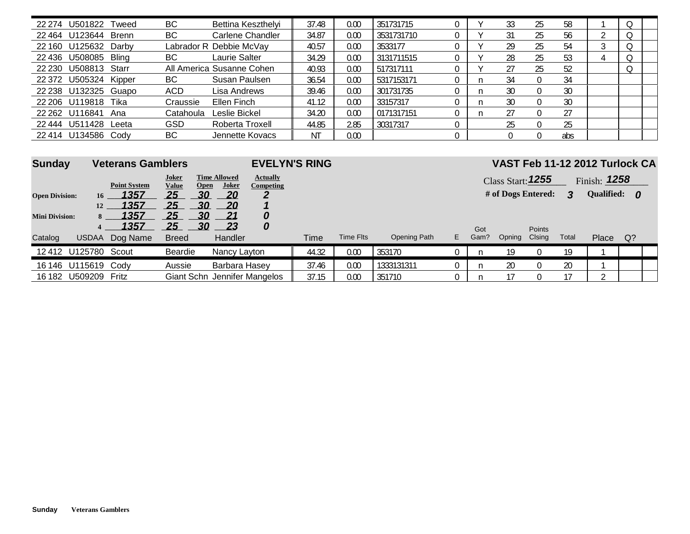| U501822<br>22 274        | BС<br>Tweed      | Bettina Keszthelyi        | 37.48     | 0.00 | 351731715  |  | 33 | 25               | 58  |  |  |
|--------------------------|------------------|---------------------------|-----------|------|------------|--|----|------------------|-----|--|--|
| 22 464 U123644 Brenn     | BС               | Carlene Chandler          | 34.87     | 0.00 | 3531731710 |  |    | 25               | 56  |  |  |
| 22 160 U125632 Darby     |                  | Labrador R Debbie McVay   | 40.57     | 0.00 | 3533177    |  | 29 | 25               | 54  |  |  |
| U508085 Bling<br>22 436  | BС               | Laurie Salter             | 34.29     | 0.00 | 3131711515 |  | 28 | 25               | 53  |  |  |
| U508813 Starr<br>22 230  |                  | All America Susanne Cohen | 40.93     | 0.00 | 517317111  |  |    | 25               | 52  |  |  |
| U505324 Kipper<br>22 372 | BС               | Susan Paulsen             | 36.54     | 0.00 | 5317153171 |  | 34 | 0                | 34  |  |  |
| 22 238 U132325 Guapo     | ACD              | Lisa Andrews              | 39.46     | 0.00 | 301731735  |  | 30 | $\Omega$         | 30  |  |  |
| 22 206 U119818           | Tika<br>Craussie | Ellen Finch               | 41.12     | 0.00 | 33157317   |  | 30 | $\Omega$         | 30  |  |  |
| 22 262 U116841<br>Ana    | Catahoula        | Leslie Bickel             | 34.20     | 0.00 | 0171317151 |  |    | $\left( \right)$ | 27  |  |  |
| U511428<br>22 444        | GSD<br>Leeta     | Roberta Troxell           | 44.85     | 2.85 | 30317317   |  |    |                  | 25  |  |  |
| U134586<br>22 414        | BС<br>Cody       | Jennette Kovacs           | <b>NT</b> | 0.00 |            |  |    |                  | abs |  |  |

| <b>Sunday</b>                    | <b>Veterans Gamblers</b> |                                  |                                                  |                                           | <b>EVELYN'S RING</b>              |       |           |              |    |             |                                         |                         |       | VAST Feb 11-12 2012 Turlock CA      |     |  |
|----------------------------------|--------------------------|----------------------------------|--------------------------------------------------|-------------------------------------------|-----------------------------------|-------|-----------|--------------|----|-------------|-----------------------------------------|-------------------------|-------|-------------------------------------|-----|--|
| <b>Open Division:</b>            | 16 <sup>1</sup>          | <b>Point System</b><br>1357      | Joker<br>Open<br><u>Value</u><br>25<br>30        | <b>Time Allowed</b><br><b>Joker</b><br>20 | <b>Actually</b><br>Competing<br>2 |       |           |              |    |             | Class Start: 1255<br># of Dogs Entered: |                         | 3     | Finish: $1258$<br><b>Qualified:</b> | - 0 |  |
| <b>Mini Division:</b><br>Catalog | 12<br>8<br><b>USDAA</b>  | 1357<br>1357<br>1357<br>Dog Name | 30<br>25<br>30<br>25<br>30<br>25<br><b>Breed</b> | 20<br>21<br>23<br>Handler                 | 0<br>0                            | Time  | Time Flts | Opening Path | E. | Got<br>Gam? | Opning                                  | <b>Points</b><br>Clsing | Total | Place                               | Q?  |  |
|                                  | 12 412 U125780 Scout     |                                  | Beardie                                          | Nancy Layton                              |                                   | 44.32 | 0.00      | 353170       |    |             | 19                                      | 0                       | 19    |                                     |     |  |
| 16 146                           | U115619 Cody             |                                  | Aussie                                           | Barbara Hasey                             |                                   | 37.46 | 0.00      | 1333131311   |    |             | 20                                      | 0                       | 20    |                                     |     |  |
|                                  | 16 182 U509209           | Fritz                            | Giant Schn Jennifer Mangelos                     |                                           |                                   | 37.15 | 0.00      | 351710       |    | n           |                                         | 0                       |       | $\sim$                              |     |  |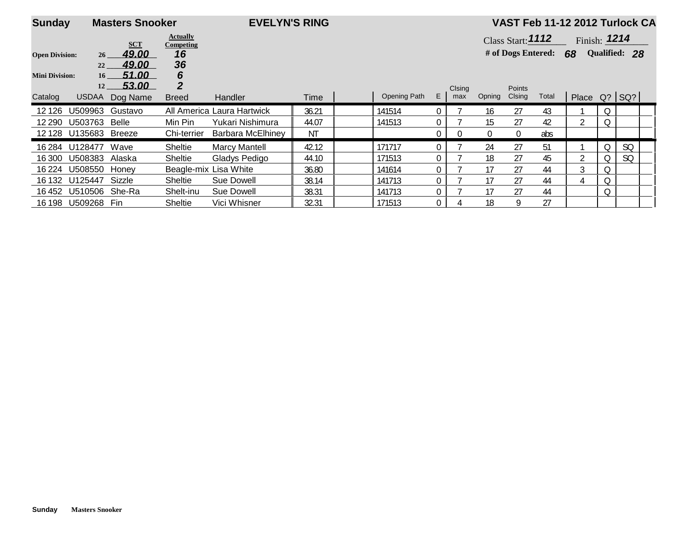| <b>Sunday</b>         |                       | <b>Masters Snooker</b> |                                     | <b>EVELYN'S RING</b>       |       |              |                |          |                |                     |       |                |    | VAST Feb 11-12 2012 Turlock CA |  |
|-----------------------|-----------------------|------------------------|-------------------------------------|----------------------------|-------|--------------|----------------|----------|----------------|---------------------|-------|----------------|----|--------------------------------|--|
|                       |                       | <b>SCT</b>             | <b>Actually</b><br><b>Competing</b> |                            |       |              |                |          |                | Class Start: $1112$ |       | Finish: $1214$ |    |                                |  |
| <b>Open Division:</b> | 26 <sup>2</sup>       | 49.00                  | 16                                  |                            |       |              |                |          |                | # of Dogs Entered:  |       | 68             |    | Qualified: 28                  |  |
| <b>Mini Division:</b> | 22<br>16 <sup>1</sup> | 49.00<br>51.00         | 36<br>6                             |                            |       |              |                |          |                |                     |       |                |    |                                |  |
|                       | 12                    | 53.00                  | $\overline{2}$                      |                            |       |              |                | Clsing   |                | <b>Points</b>       |       |                |    |                                |  |
| Catalog               | <b>USDAA</b>          | Dog Name               | <b>Breed</b>                        | Handler                    | Time  | Opening Path | E.             | max      | Opning         | Clsing              | Total | Place Q? SQ?   |    |                                |  |
| 12 1 26               | U509963               | Gustavo                |                                     | All America Laura Hartwick | 36.21 | 141514       | $\Omega$       |          | 16             | 27                  | 43    |                | Q  |                                |  |
| 12 290                | U503763               | Belle                  | Min Pin                             | Yukari Nishimura           | 44.07 | 141513       | 0              |          | 15             | 27                  | 42    | 2              |    |                                |  |
|                       | 12 128 U135683        | Breeze                 | Chi-terrier                         | <b>Barbara McElhiney</b>   | ΝT    |              | $\overline{0}$ | $\Omega$ | $\overline{0}$ | $\mathbf{0}$        | abs   |                |    |                                |  |
| 16 284                | U128477               | Wave                   | <b>Sheltie</b>                      | <b>Marcy Mantell</b>       | 42.12 | 171717       | 0              |          | 24             | 27                  | 51    |                | 0  | <b>SQ</b>                      |  |
| 16 300                | U508383               | Alaska                 | <b>Sheltie</b>                      | Gladys Pedigo              | 44.10 | 171513       |                |          | 18             | 27                  | 45    |                |    | SQ                             |  |
| 16 2 24               | U508550               | Honev                  |                                     | Beagle-mix Lisa White      | 36.80 | 141614       | $\mathbf 0$    |          | 17             | 27                  | 44    | 3              | Q. |                                |  |
| 16 132                | U125447               | Sizzle                 | <b>Sheltie</b>                      | Sue Dowell                 | 38.14 | 141713       | $\Omega$       |          | 17             | 27                  | 44    | 4              | Q  |                                |  |
| 16 452                | U510506               | She-Ra                 | Shelt-inu                           | Sue Dowell                 | 38.31 | 141713       | $\mathbf{0}$   |          | 17             | 27                  | 44    |                | Q  |                                |  |
| 16 198                | U509268               | Fin                    | Sheltie                             | Vici Whisner               | 32.31 | 171513       | $\mathbf{0}$   |          | 18             | 9                   | 27    |                |    |                                |  |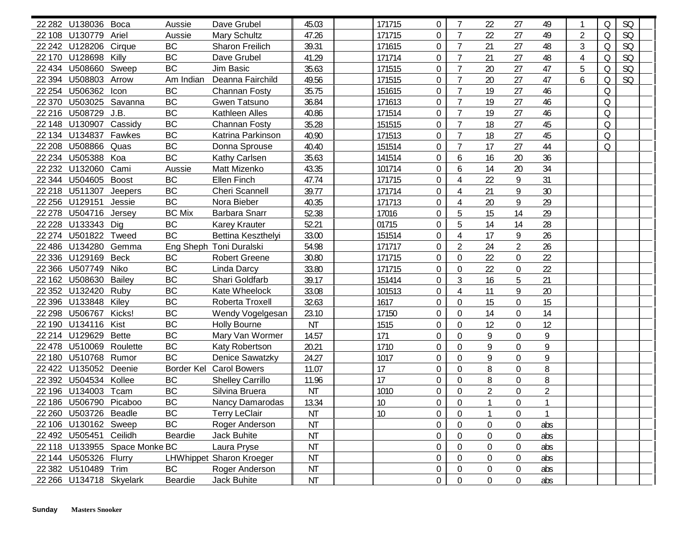| 22 282 U138036 Boca     |                               | Aussie        | Dave Grubel              | 45.03     | 171715 | $\overline{0}$   | $\overline{7}$   | 22             | 27               | 49             |                | $\Omega$ | <b>SQ</b> |  |
|-------------------------|-------------------------------|---------------|--------------------------|-----------|--------|------------------|------------------|----------------|------------------|----------------|----------------|----------|-----------|--|
| 22 108 U130779          | Ariel                         | Aussie        | <b>Mary Schultz</b>      | 47.26     | 171715 | $\overline{0}$   | $\overline{7}$   | 22             | 27               | 49             | $\overline{2}$ | $\Omega$ | <b>SQ</b> |  |
| 22 242 U128206 Cirque   |                               | BC            | Sharon Freilich          | 39.31     | 171615 | $\boldsymbol{0}$ | $\overline{7}$   | 21             | 27               | 48             | 3              | $\Omega$ | <b>SQ</b> |  |
| 22 170 U128698 Killy    |                               | <b>BC</b>     | Dave Grubel              | 41.29     | 171714 | $\boldsymbol{0}$ | $\overline{7}$   | 21             | 27               | 48             | 4              | $\Omega$ | <b>SQ</b> |  |
| 22 434 U508660 Sweep    |                               | <b>BC</b>     | Jim Basic                | 35.63     | 171515 | $\overline{0}$   | $\overline{7}$   | 20             | 27               | 47             |                | $\Omega$ | SQ        |  |
| 22 394 U508803          | Arrow                         | Am Indian     | Deanna Fairchild         | 49.56     | 171515 | $\overline{0}$   | $\overline{7}$   | 20             | 27               | 47             | 6              | $\Omega$ | <b>SQ</b> |  |
| 22 254 U506362          | Icon                          | BC            | Channan Fosty            | 35.75     | 151615 | $\overline{0}$   | $\overline{7}$   | 19             | 27               | 46             |                | $\Omega$ |           |  |
| 22 370 U503025 Savanna  |                               | <b>BC</b>     | Gwen Tatsuno             | 36.84     | 171613 | $\mathbf 0$      | $\overline{7}$   | 19             | 27               | 46             |                | Q        |           |  |
| 22 216 U508729 J.B.     |                               | <b>BC</b>     | Kathleen Alles           | 40.86     | 171514 | $\overline{0}$   | $\overline{7}$   | 19             | 27               | 46             |                | Q        |           |  |
| 22 148 U130907 Cassidy  |                               | BC            | Channan Fosty            | 35.28     | 151515 | $\mathbf 0$      | $\overline{7}$   | 18             | 27               | 45             |                | Q        |           |  |
| 22 134 U134837 Fawkes   |                               | <b>BC</b>     | Katrina Parkinson        | 40.90     | 171513 | $\overline{0}$   | $\overline{7}$   | 18             | 27               | 45             |                | Q        |           |  |
| 22 208 U508866 Quas     |                               | <b>BC</b>     | Donna Sprouse            | 40.40     | 151514 | $\overline{0}$   | $\overline{7}$   | 17             | 27               | 44             |                | Q        |           |  |
| 22 234 U505388 Koa      |                               | <b>BC</b>     | Kathy Carlsen            | 35.63     | 141514 | $\overline{0}$   | 6                | 16             | 20               | 36             |                |          |           |  |
| 22 232 U132060          | Cami                          | Aussie        | Matt Mizenko             | 43.35     | 101714 | $\overline{0}$   | 6                | 14             | 20               | 34             |                |          |           |  |
| 22 344 U504605 Boost    |                               | BC            | Ellen Finch              | 47.74     | 171715 | $\overline{0}$   | 4                | 22             | 9                | 31             |                |          |           |  |
| 22 218 U511307 Jeepers  |                               | BC            | <b>Cheri Scannell</b>    | 39.77     | 171714 | $\overline{0}$   | $\overline{4}$   | 21             | 9                | 30             |                |          |           |  |
| 22 256 U129151          | Jessie                        | BC            | Nora Bieber              | 40.35     | 171713 | $\overline{0}$   | 4                | 20             | 9                | 29             |                |          |           |  |
| 22 278 U504716 Jersey   |                               | <b>BC Mix</b> | <b>Barbara Snarr</b>     | 52.38     | 17016  | $\overline{0}$   | 5                | 15             | 14               | 29             |                |          |           |  |
| 22 228 U133343 Dig      |                               | BC            | <b>Karey Krauter</b>     | 52.21     | 01715  | $\mathbf 0$      | 5                | 14             | 14               | 28             |                |          |           |  |
| 22 274 U501822 Tweed    |                               | BC            | Bettina Keszthelyi       | 33.00     | 151514 | $\overline{0}$   | $\overline{4}$   | 17             | 9                | 26             |                |          |           |  |
| 22 486 U134280 Gemma    |                               |               | Eng Sheph Toni Duralski  | 54.98     | 171717 | $\overline{0}$   | $\overline{2}$   | 24             | $\overline{2}$   | 26             |                |          |           |  |
| 22 336 U129169 Beck     |                               | <b>BC</b>     | <b>Robert Greene</b>     | 30.80     | 171715 | $\boldsymbol{0}$ | $\Omega$         | 22             | $\boldsymbol{0}$ | 22             |                |          |           |  |
| 22 366 U507749 Niko     |                               | BC            | Linda Darcy              | 33.80     | 171715 | $\boldsymbol{0}$ | $\boldsymbol{0}$ | 22             | $\boldsymbol{0}$ | 22             |                |          |           |  |
| 22 162 U508630          | <b>Bailey</b>                 | BC            | Shari Goldfarb           | 39.17     | 151414 | $\overline{0}$   | $\mathfrak{Z}$   | 16             | 5                | 21             |                |          |           |  |
| 22 352 U132420          | Ruby                          | BC            | Kate Wheelock            | 33.08     | 101513 | $\overline{0}$   | 4                | 11             | 9                | 20             |                |          |           |  |
| 22 396 U133848          | Kiley                         | BC            | Roberta Troxell          | 32.63     | 1617   | $\overline{0}$   | $\Omega$         | 15             | $\boldsymbol{0}$ | 15             |                |          |           |  |
| 22 298 U506767          | Kicks!                        | <b>BC</b>     | Wendy Vogelgesan         | 23.10     | 17150  | $\boldsymbol{0}$ | $\mathbf 0$      | 14             | $\boldsymbol{0}$ | 14             |                |          |           |  |
| 22 190 U134116 Kist     |                               | <b>BC</b>     | <b>Holly Bourne</b>      | <b>NT</b> | 1515   | $\mathbf 0$      | $\Omega$         | 12             | $\boldsymbol{0}$ | 12             |                |          |           |  |
| 22 214 U129629 Bette    |                               | BC            | Mary Van Wormer          | 14.57     | 171    | $\overline{0}$   | $\Omega$         | 9              | $\mathbf 0$      | 9              |                |          |           |  |
| 22 478 U510069 Roulette |                               | BC            | Katy Robertson           | 20.21     | 1710   | $\overline{0}$   | $\Omega$         | 9              | $\mathbf 0$      | 9              |                |          |           |  |
| 22 180 U510768 Rumor    |                               | <b>BC</b>     | Denice Sawatzky          | 24.27     | 1017   | $\overline{0}$   | $\Omega$         | 9              | $\mathbf 0$      | 9              |                |          |           |  |
| 22 422 U135052 Deenie   |                               | Border Kel    | <b>Carol Bowers</b>      | 11.07     | 17     | $\overline{0}$   | $\Omega$         | 8              | $\mathbf 0$      | 8              |                |          |           |  |
| 22 392 U504534 Kollee   |                               | BC            | <b>Shelley Carrillo</b>  | 11.96     | 17     | $\overline{0}$   | $\Omega$         | 8              | $\mathbf 0$      | 8              |                |          |           |  |
| 22 196 U134003 Tcam     |                               | BC            | Silvina Bruera           | <b>NT</b> | 1010   | $\boldsymbol{0}$ | $\mathbf 0$      | $\overline{2}$ | $\boldsymbol{0}$ | $\overline{2}$ |                |          |           |  |
| 22 186 U506790 Picaboo  |                               | BC            | <b>Nancy Damarodas</b>   | 13.34     | 10     | $\overline{0}$   | $\overline{0}$   | $\mathbf{1}$   | 0                | $\mathbf{1}$   |                |          |           |  |
| 22 260 U503726 Beadle   |                               | BC            | <b>Terry LeClair</b>     | <b>NT</b> | 10     | 0                | $\boldsymbol{0}$ |                | 0                | $\mathbf{1}$   |                |          |           |  |
| 22 106 U130162 Sweep    |                               | BC            | Roger Anderson           | <b>NT</b> |        | $\mathbf 0$      | $\mathbf 0$      | 0              | $\boldsymbol{0}$ | abs            |                |          |           |  |
| 22 492 U505451 Ceilidh  |                               | Beardie       | Jack Buhite              | <b>NT</b> |        | $\overline{0}$   | $\overline{0}$   | 0              | $\boldsymbol{0}$ | abs            |                |          |           |  |
|                         | 22 118 U133955 Space Monke BC |               | Laura Pryse              | <b>NT</b> |        | $\boldsymbol{0}$ | $\overline{0}$   | 0              | 0                | abs            |                |          |           |  |
| 22 144 U505326 Flurry   |                               |               | LHWhippet Sharon Kroeger | <b>NT</b> |        | $\boldsymbol{0}$ | $\overline{0}$   | 0              | 0                | abs            |                |          |           |  |
| 22 382 U510489 Trim     |                               | BC            | Roger Anderson           | <b>NT</b> |        | $\boldsymbol{0}$ | $\overline{0}$   | 0              | 0                | abs            |                |          |           |  |
| 22 266 U134718 Skyelark |                               | Beardie       | Jack Buhite              | <b>NT</b> |        | $\mathbf 0$      | $\boldsymbol{0}$ | $\mathbf 0$    | $\boldsymbol{0}$ | abs            |                |          |           |  |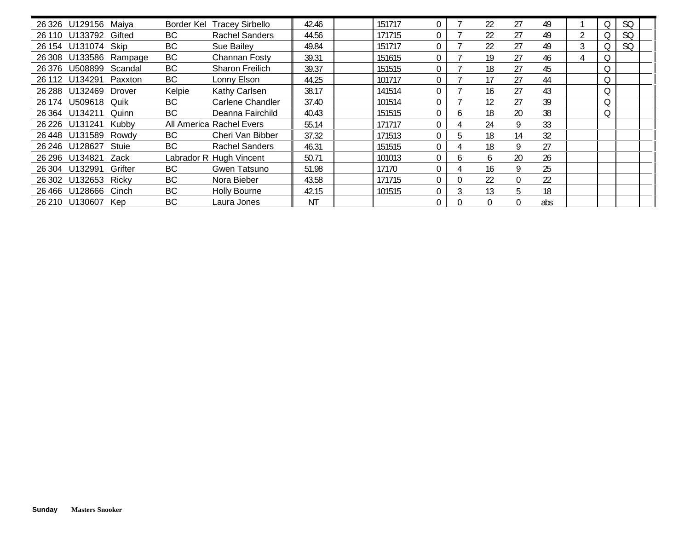|        | 26 326 U129156 Maiya |                        | Border Kel | <b>Tracey Sirbello</b>   | 42.46     | 151717 | 0            |              | 22           | 27       | 49  |   | SQ        |  |
|--------|----------------------|------------------------|------------|--------------------------|-----------|--------|--------------|--------------|--------------|----------|-----|---|-----------|--|
|        | 26 110 U133792       | Gifted                 | BC         | <b>Rachel Sanders</b>    | 44.56     | 171715 | $\Omega$     |              | 22           | 27       | 49  | 2 | <b>SQ</b> |  |
|        | 26 154 U131074 Skip  |                        | BC         | Sue Bailey               | 49.84     | 151717 | $\Omega$     |              | 22           | 27       | 49  | 3 | SQ        |  |
|        |                      | 26 308 U133586 Rampage | BC         | Channan Fosty            | 39.31     | 151615 | $\Omega$     |              | 19           | 27       | 46  |   |           |  |
|        | 26 376 U508899       | Scandal                | BC         | <b>Sharon Freilich</b>   | 39.37     | 151515 | $\Omega$     |              | 18           | 27       | 45  |   |           |  |
| 26 112 | U134291              | Paxxton                | BC         | Lonny Elson              | 44.25     | 101717 | $\Omega$     |              | 17           | 27       | 44  |   |           |  |
|        | 26 288 U132469       | Drover                 | Kelpie     | Kathy Carlsen            | 38.17     | 141514 | $\Omega$     |              | 16           | 27       | 43  |   |           |  |
|        | 26 174 U509618 Quik  |                        | BC         | Carlene Chandler         | 37.40     | 101514 | $\Omega$     |              | 12           | 27       | 39  |   |           |  |
|        | 26 364 U134211       | Quinn                  | BC         | Deanna Fairchild         | 40.43     | 151515 | $\mathbf 0$  | <sub>0</sub> | 18           | 20       | 38  |   |           |  |
|        | 26 226 U131241       | Kubby                  |            | All America Rachel Evers | 55.14     | 171717 | $\Omega$     |              | 24           | 9        | 33  |   |           |  |
|        | 26 448 U131589 Rowdy |                        | BC         | Cheri Van Bibber         | 37.32     | 171513 | $\Omega$     | C            | 18           | 14       | 32  |   |           |  |
|        | 26 246 U128627       | Stuie                  | BC         | <b>Rachel Sanders</b>    | 46.31     | 151515 | $\mathbf 0$  |              | 18           | 9        | 27  |   |           |  |
|        | 26 296 U134821       | Zack                   |            | Labrador R Hugh Vincent  | 50.71     | 101013 | $\mathbf 0$  | <sub>0</sub> | <sub>6</sub> | 20       | 26  |   |           |  |
|        | 26 304 U132991       | Grifter                | BC         | Gwen Tatsuno             | 51.98     | 17170  | $\mathbf 0$  |              | 16           | 9        | 25  |   |           |  |
|        | 26 302 U132653 Ricky |                        | BC         | Nora Bieber              | 43.58     | 171715 | $\Omega$     | $\Omega$     | 22           | $\Omega$ | 22  |   |           |  |
|        | 26466 U128666        | Cinch                  | <b>BC</b>  | <b>Holly Bourne</b>      | 42.15     | 101515 | $\Omega$     |              | 13           | 5        | 18  |   |           |  |
|        | 26 210 U130607       | Kep                    | <b>BC</b>  | Laura Jones              | <b>NT</b> |        | $\mathbf{0}$ |              |              | $\theta$ | abs |   |           |  |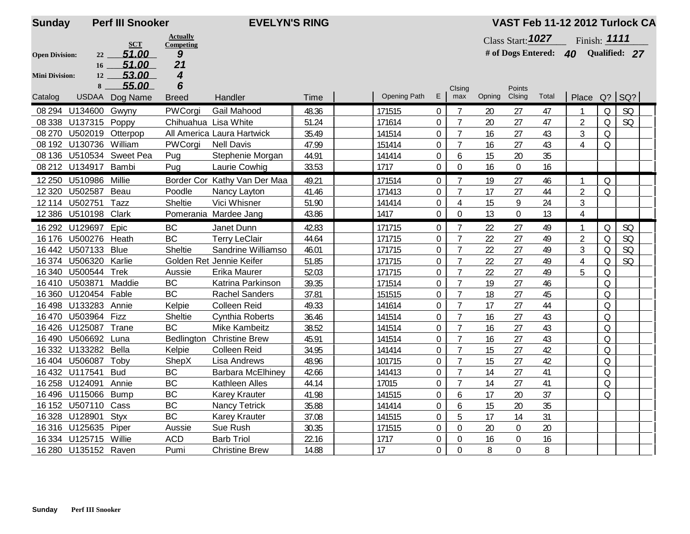| <b>Sunday</b>         |                      | <b>Perf III Snooker</b>  |                      | <b>EVELYN'S RING</b>         |       |              |                |                |        |                         |       | VAST Feb 11-12 2012 Turlock CA |                                                                                                            |               |  |
|-----------------------|----------------------|--------------------------|----------------------|------------------------------|-------|--------------|----------------|----------------|--------|-------------------------|-------|--------------------------------|------------------------------------------------------------------------------------------------------------|---------------|--|
|                       |                      |                          | <b>Actually</b>      |                              |       |              |                |                |        | Class Start: 1027       |       | Finish: 1111                   |                                                                                                            |               |  |
| <b>Open Division:</b> | 22                   | <b>SCT</b><br>51.00      | Competing<br>9       |                              |       |              |                |                |        | # of Dogs Entered: $40$ |       |                                |                                                                                                            | Qualified: 27 |  |
|                       | 16                   | 51.00                    | 21                   |                              |       |              |                |                |        |                         |       |                                |                                                                                                            |               |  |
| <b>Mini Division:</b> | 12                   | 53.00                    | 4                    |                              |       |              |                |                |        |                         |       |                                |                                                                                                            |               |  |
|                       | 8                    | 55.00                    | 6                    |                              |       |              |                | Clsing         |        | Points                  |       |                                |                                                                                                            |               |  |
| Catalog               |                      | USDAA Dog Name           | <b>Breed</b>         | Handler                      | Time  | Opening Path | E              | max            | Opning | Clsing                  | Total | Place Q? SQ?                   |                                                                                                            |               |  |
|                       | 08 294 U134600       | Gwyny                    | PWCorgi              | Gail Mahood                  | 48.36 | 171515       | $\overline{0}$ | 7              | 20     | 27                      | 47    |                                | $\Omega$                                                                                                   | SQ            |  |
|                       | 08 338 U137315       | Poppy                    | Chihuahua Lisa White |                              | 51.24 | 171614       | 0              | 7              | 20     | 27                      | 47    | 2                              | $\Omega$                                                                                                   | SQ            |  |
| 08 270                | U502019              | Otterpop                 |                      | All America Laura Hartwick   | 35.49 | 141514       | $\overline{0}$ | $\overline{7}$ | 16     | 27                      | 43    | 3                              | $\Omega$                                                                                                   |               |  |
|                       | 08 192 U130736       | William                  | PWCorgi              | <b>Nell Davis</b>            | 47.99 | 151414       | $\overline{0}$ | $\overline{7}$ | 16     | 27                      | 43    | 4                              | $\Omega$                                                                                                   |               |  |
|                       |                      | 08 136 U510534 Sweet Pea | Pug                  | Stephenie Morgan             | 44.91 | 141414       | $\overline{0}$ | 6              | 15     | 20                      | 35    |                                |                                                                                                            |               |  |
|                       | 08 212 U134917       | Bambi                    | Pug                  | Laurie Cowhig                | 33.53 | 1717         | $\mathbf 0$    | $\overline{0}$ | 16     | $\boldsymbol{0}$        | 16    |                                |                                                                                                            |               |  |
| 12 250                | U510986              | Millie                   |                      | Border Cor Kathy Van Der Maa | 49.21 | 171514       | $\mathbf 0$    | $\overline{7}$ | 19     | 27                      | 46    |                                | $\Omega$                                                                                                   |               |  |
| 12 3 20               | U502587              | Beau                     | Poodle               | Nancy Layton                 | 41.46 | 171413       | $\mathbf 0$    | $\overline{7}$ | 17     | 27                      | 44    | $\overline{2}$                 | $\Omega$                                                                                                   |               |  |
|                       | 12 114 U502751       | Tazz                     | Sheltie              | Vici Whisner                 | 51.90 | 141414       | $\overline{0}$ | 4              | 15     | 9                       | 24    | 3                              |                                                                                                            |               |  |
|                       | 12 386 U510198       | Clark                    |                      | Pomerania Mardee Jang        | 43.86 | 1417         | $\mathbf 0$    | $\mathbf 0$    | 13     | $\overline{0}$          | 13    | $\overline{4}$                 |                                                                                                            |               |  |
|                       | 16 292 U129697       | Epic                     | <b>BC</b>            | Janet Dunn                   | 42.83 | 171715       | $\overline{0}$ | $\overline{7}$ | 22     | 27                      | 49    |                                | Q                                                                                                          | SQ            |  |
| 16 176                | U500276              | Heath                    | <b>BC</b>            | <b>Terry LeClair</b>         | 44.64 | 171715       | $\overline{0}$ | $\overline{7}$ | 22     | 27                      | 49    | $\overline{2}$                 | $\Omega$                                                                                                   | <b>SQ</b>     |  |
|                       | 16442 U507133        | <b>Blue</b>              | Sheltie              | Sandrine Williamso           | 46.01 | 171715       | $\overline{0}$ | $\overline{7}$ | 22     | 27                      | 49    | 3                              | $\Omega$                                                                                                   | SQ            |  |
| 16374                 | U506320              | Karlie                   |                      | Golden Ret Jennie Keifer     | 51.85 | 171715       | 0              | $\overline{7}$ | 22     | 27                      | 49    | 4                              | $\Omega$                                                                                                   | <b>SQ</b>     |  |
| 16 340                | U500544              | <b>Trek</b>              | Aussie               | Erika Maurer                 | 52.03 | 171715       | $\mathbf 0$    | $\overline{7}$ | 22     | 27                      | 49    | 5                              | ${\mathsf Q}$                                                                                              |               |  |
| 16410                 | U503871              | Maddie                   | BC                   | Katrina Parkinson            | 39.35 | 171514       | $\mathbf 0$    | $\overline{7}$ | 19     | 27                      | 46    |                                | $\mathsf{Q}% _{T}=\mathsf{Q}_{T}\!\left( a,b\right) ,\ \mathsf{Q}_{T}=\mathsf{Q}_{T}\!\left( a,b\right) ,$ |               |  |
|                       | 16 360 U120454 Fable |                          | BC                   | <b>Rachel Sanders</b>        | 37.81 | 151515       | $\overline{0}$ | $\overline{7}$ | 18     | 27                      | 45    |                                | Q                                                                                                          |               |  |
|                       | 16 498 U133283       | Annie                    | Kelpie               | <b>Colleen Reid</b>          | 49.33 | 141614       | $\mathbf 0$    | $\overline{7}$ | 17     | 27                      | 44    |                                | $\overline{Q}$                                                                                             |               |  |
|                       | 16 470 U503964 Fizz  |                          | Sheltie              | Cynthia Roberts              | 36.46 | 141514       | $\mathbf 0$    | $\overline{7}$ | 16     | 27                      | 43    |                                | $\Omega$                                                                                                   |               |  |
|                       | 16 426 U125087       | Trane                    | <b>BC</b>            | <b>Mike Kambeitz</b>         | 38.52 | 141514       | $\overline{0}$ | $\overline{7}$ | 16     | 27                      | 43    |                                | $\Omega$                                                                                                   |               |  |
|                       | 16 490 U506692       | Luna                     | Bedlington           | <b>Christine Brew</b>        | 45.91 | 141514       | $\overline{0}$ | $\overline{7}$ | 16     | 27                      | 43    |                                | $\Omega$                                                                                                   |               |  |
|                       | 16 332 U133282       | Bella                    | Kelpie               | <b>Colleen Reid</b>          | 34.95 | 141414       | $\mathbf 0$    | $\overline{7}$ | 15     | 27                      | 42    |                                | $\Omega$                                                                                                   |               |  |
|                       | 16 404 U506087       | Toby                     | ShepX                | Lisa Andrews                 | 48.96 | 101715       | $\mathbf 0$    | $\overline{7}$ | 15     | 27                      | 42    |                                | $\Omega$                                                                                                   |               |  |
|                       | 16 432 U117541       | <b>Bud</b>               | BC                   | <b>Barbara McElhiney</b>     | 42.66 | 141413       | $\overline{0}$ | $\overline{7}$ | 14     | 27                      | 41    |                                | $\Omega$                                                                                                   |               |  |
|                       | 16 258 U124091       | Annie                    | BC                   | Kathleen Alles               | 44.14 | 17015        | $\overline{0}$ | 7              | 14     | 27                      | 41    |                                | Q                                                                                                          |               |  |
|                       | 16 496 U115066       | <b>Bump</b>              | BC                   | <b>Karey Krauter</b>         | 41.98 | 141515       | 0              | 6              | 17     | 20                      | 37    |                                | Q                                                                                                          |               |  |
|                       | 16 152 U507110       | Cass                     | BC                   | Nancy Tetrick                | 35.88 | 141414       | 0              | 6              | 15     | 20                      | 35    |                                |                                                                                                            |               |  |
|                       | 16 328 U128901       | <b>Styx</b>              | BC                   | <b>Karey Krauter</b>         | 37.08 | 141515       | $\mathbf 0$    | 5              | 17     | 14                      | 31    |                                |                                                                                                            |               |  |
|                       | 16 316 U125635       | Piper                    | Aussie               | Sue Rush                     | 30.35 | 171515       | $\mathbf 0$    | $\Omega$       | 20     | $\boldsymbol{0}$        | 20    |                                |                                                                                                            |               |  |
|                       | 16 334 U125715       | Willie                   | <b>ACD</b>           | <b>Barb Triol</b>            | 22.16 | 1717         | $\mathbf 0$    | 0              | 16     | 0                       | 16    |                                |                                                                                                            |               |  |
|                       | 16 280 U135152 Raven |                          | Pumi                 | <b>Christine Brew</b>        | 14.88 | 17           | 0              | $\Omega$       | 8      | $\overline{0}$          | 8     |                                |                                                                                                            |               |  |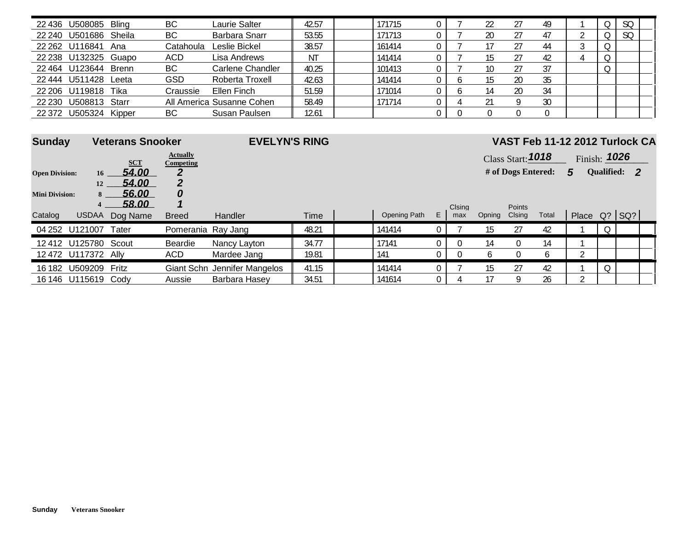|        | 22 436 U508085 Bling |        | BC         | Laurie Salter             | 42.57 | 171715 |  |    |    | 49 |          | SO. |  |
|--------|----------------------|--------|------------|---------------------------|-------|--------|--|----|----|----|----------|-----|--|
| 22 240 | U501686 Sheila       |        | BC         | Barbara Snarr             | 53.55 | 171713 |  | 20 |    | 47 |          | SQ  |  |
|        | 22 262 U116841       | Ana    | Catahoula  | Leslie Bickel             | 38.57 | 161414 |  |    |    | 44 |          |     |  |
|        | 22 238 U132325 Guapo |        | <b>ACD</b> | Lisa Andrews              | - NT  | 141414 |  |    |    | 42 |          |     |  |
|        | 22 464 U123644       | Brenn  | BC         | Carlene Chandler          | 40.25 | 101413 |  | 10 |    | 37 | $\Omega$ |     |  |
| 22 444 | U511428              | Leeta  | GSD        | Roberta Troxell           | 42.63 | 141414 |  |    | 20 | 35 |          |     |  |
|        | 22 206 U119818       | Tika   | Craussie   | Ellen Finch               | 51.59 | 171014 |  | 14 | 20 | 34 |          |     |  |
| 22 230 | U508813 Starr        |        |            | All America Susanne Cohen | 58.49 | 171714 |  |    |    | 30 |          |     |  |
| 22 372 | U505324              | Kipper | BC         | Susan Paulsen             | 12.61 |        |  |    |    |    |          |     |  |

| <b>Sunday</b>         |                      | <b>Veterans Snooker</b> |                                     | <b>EVELYN'S RING</b>         |       |              |                |        |        |                          |              | VAST Feb 11-12 2012 Turlock CA |                     |  |
|-----------------------|----------------------|-------------------------|-------------------------------------|------------------------------|-------|--------------|----------------|--------|--------|--------------------------|--------------|--------------------------------|---------------------|--|
|                       |                      | <b>SCT</b>              | <b>Actually</b><br><b>Competing</b> |                              |       |              |                |        |        | <b>Class Start: 1018</b> |              |                                | Finish: <b>1026</b> |  |
| <b>Open Division:</b> |                      | 54.00<br>16             | 2                                   |                              |       |              |                |        |        | # of Dogs Entered:       |              | 5                              | Qualified: 2        |  |
| <b>Mini Division:</b> | 12<br>$-8$<br>4      | 54.00<br>56.00<br>58.00 | 0                                   |                              |       |              |                | Clsing |        | Points                   |              |                                |                     |  |
| Catalog               | <b>USDAA</b>         | Dog Name                | <b>Breed</b>                        | Handler                      | Time  | Opening Path | E              | max    | Opning | Clsing                   | Total        |                                | Place Q? SQ?        |  |
|                       | 04 252 U121007       | Tater                   | Pomerania Ray Jang                  |                              | 48.21 | 141414       | $\overline{0}$ |        | 15     | 27                       | 42           |                                | Q                   |  |
|                       | 12 412 U125780 Scout |                         | Beardie                             | Nancy Layton                 | 34.77 | 17141        |                |        | 14     | $\Omega$                 | 14           |                                |                     |  |
|                       | 12 472 U117372 Ally  |                         | ACD.                                | Mardee Jang                  | 19.81 | 141          |                |        | 6      | $\overline{0}$           | <sub>b</sub> |                                |                     |  |
| 16 182                | U509209              | Fritz                   |                                     | Giant Schn Jennifer Mangelos | 41.15 | 141414       | 0              |        | 15     | 27                       | 42           |                                |                     |  |
|                       | 16 146 U115619 Cody  |                         | Aussie                              | Barbara Hasey                | 34.51 | 141614       | 0              |        |        | q                        | 26           | ↑                              |                     |  |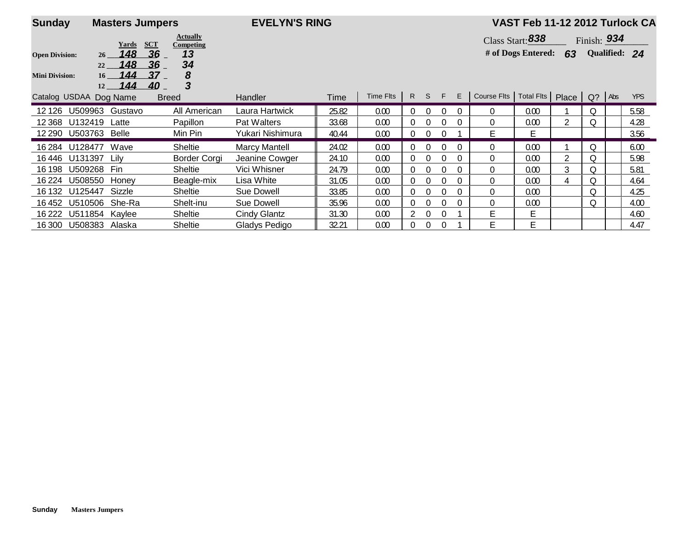| <b>Sunday</b>                                   | <b>Masters Jumpers</b>                                              |                                          | <b>EVELYN'S RING</b> |       |           |                |                |                |          |                          | VAST Feb 11-12 2012 Turlock CA         |                        |               |               |            |
|-------------------------------------------------|---------------------------------------------------------------------|------------------------------------------|----------------------|-------|-----------|----------------|----------------|----------------|----------|--------------------------|----------------------------------------|------------------------|---------------|---------------|------------|
| <b>Open Division:</b>                           | <b>SCT</b><br>Yards<br>148<br>36<br>$26^{\circ}$<br>36<br>148<br>22 | <b>Actually</b><br>Competing<br>13<br>34 |                      |       |           |                |                |                |          |                          | Class Start: 838<br># of Dogs Entered: | 63                     | Finish: $934$ | Qualified: 24 |            |
| <b>Mini Division:</b><br>Catalog USDAA Dog Name | 37<br>144<br>16<br>144<br>40<br>12                                  | 8<br>3<br><b>Breed</b>                   | <b>Handler</b>       | Time  | Time Flts |                | R S            | F              | E.       | Course Flts   Total Flts |                                        | Place $\sqrt{Q}$ ? Abs |               |               | <b>YPS</b> |
| 12 1 26                                         | U509963<br>Gustavo                                                  | All American                             | Laura Hartwick       | 25.82 | 0.00      | 0              | $\Omega$       | $\overline{0}$ | $\Omega$ | 0                        | 0.00                                   |                        | Q             |               | 5.58       |
| U132419<br>12 368                               | Latte                                                               | Papillon                                 | Pat Walters          | 33.68 | 0.00      | 0              | $\Omega$       | $\Omega$       |          | 0                        | 0.00                                   | $\overline{2}$         |               |               | 4.28       |
| 12 290                                          | U503763 Belle                                                       | Min Pin                                  | Yukari Nishimura     | 40.44 | 0.00      | $\Omega$       | $\Omega$       | $\Omega$       |          | E                        | E.                                     |                        |               |               | 3.56       |
| 16 284                                          | U128477 Wave                                                        | <b>Sheltie</b>                           | <b>Marcy Mantell</b> | 24.02 | 0.00      | $\overline{0}$ | $\overline{0}$ | $\Omega$       | $\Omega$ | $\Omega$                 | 0.00                                   |                        | 0             |               | 6.00       |
| 16446                                           | U131397 Lily                                                        | Border Corgi                             | Jeanine Cowger       | 24.10 | 0.00      | $\overline{0}$ | -0             | $\Omega$       | $\Omega$ | 0                        | 0.00                                   | 2                      | Q             |               | 5.98       |
| 16 198                                          | U509268 Fin                                                         | <b>Sheltie</b>                           | Vici Whisner         | 24.79 | 0.00      | 0              | -0             | $\Omega$       | $\Omega$ | 0                        | 0.00                                   | 3                      | Q             |               | 5.81       |
| U508550<br>16 2 24                              | Honey                                                               | Beagle-mix                               | Lisa White           | 31.05 | 0.00      | $\Omega$       | 0              | 0              | $\Omega$ | 0                        | 0.00                                   | 4                      | Q.            |               | 4.64       |
| U125447<br>16 132                               | Sizzle                                                              | <b>Sheltie</b>                           | Sue Dowell           | 33.85 | 0.00      | 0              | $\Omega$       | $\mathbf{0}$   | $\Omega$ | 0                        | 0.00                                   |                        | Q             |               | 4.25       |
| 16 452<br>U510506                               | She-Ra                                                              | Shelt-inu                                | Sue Dowell           | 35.96 | 0.00      | 0              | $\Omega$       | 0              |          | 0                        | 0.00                                   |                        | Q             |               | 4.00       |
| 16 222                                          | U511854 Kaylee                                                      | Sheltie                                  | <b>Cindy Glantz</b>  | 31.30 | 0.00      |                | $\bigcap$      | $\Omega$       |          |                          | E                                      |                        |               |               | 4.60       |
| 16 300                                          | U508383 Alaska                                                      | Sheltie                                  | Gladys Pedigo        | 32.21 | 0.00      | 0              | $\mathbf{0}$   | $\mathbf 0$    |          | Е                        | Е                                      |                        |               |               | 4.47       |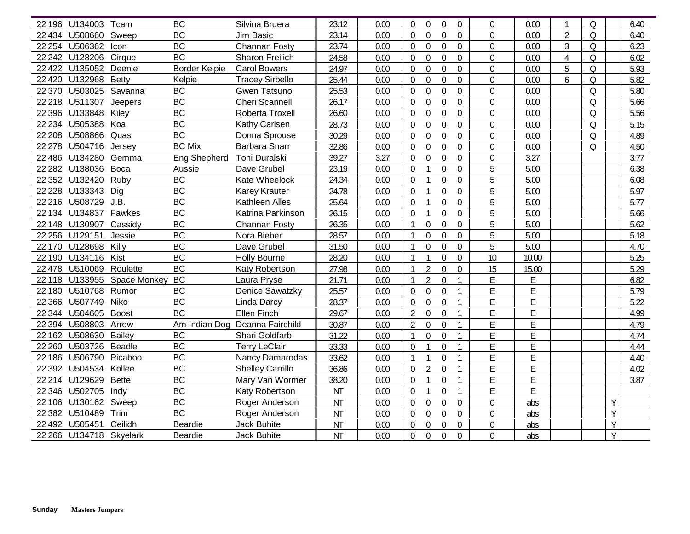|         | 22 196 U134003 Tcam     |                             | <b>BC</b>            | Silvina Bruera                 | 23.12     | 0.00 | $\Omega$         | $\Omega$<br>$\Omega$                 | $\Omega$       | $\Omega$         | 0.00  |                | $\Omega$ |   | 6.40 |
|---------|-------------------------|-----------------------------|----------------------|--------------------------------|-----------|------|------------------|--------------------------------------|----------------|------------------|-------|----------------|----------|---|------|
|         | 22 434 U508660          | Sweep                       | <b>BC</b>            | <b>Jim Basic</b>               | 23.14     | 0.00 | 0                | $\mathbf 0$<br>$\Omega$              | $\overline{0}$ | $\mathbf 0$      | 0.00  | $\overline{2}$ | $\Omega$ |   | 6.40 |
|         | 22 254 U506362          | Icon                        | <b>BC</b>            | Channan Fosty                  | 23.74     | 0.00 | $\mathbf 0$      | $\mathbf 0$<br>$\mathbf 0$           | $\overline{0}$ | $\overline{0}$   | 0.00  | $\overline{3}$ | $\Omega$ |   | 6.23 |
|         | 22 242 U128206          | Cirque                      | <b>BC</b>            | Sharon Freilich                | 24.58     | 0.00 | 0                | $\mathbf 0$<br>$\mathbf 0$           | $\overline{0}$ | $\overline{0}$   | 0.00  | $\overline{4}$ | Q        |   | 6.02 |
|         | 22 422 U135052 Deenie   |                             | <b>Border Kelpie</b> | <b>Carol Bowers</b>            | 24.97     | 0.00 | 0                | $\mathbf 0$<br>$\mathbf 0$           | $\Omega$       | 0                | 0.00  | 5              | Q        |   | 5.93 |
|         | 22 420 U132968 Betty    |                             | Kelpie               | <b>Tracey Sirbello</b>         | 25.44     | 0.00 | $\theta$         | $\mathbf 0$<br>$\boldsymbol{0}$      | $\Omega$       | $\Omega$         | 0.00  | 6              | Q        |   | 5.82 |
|         | 22 370 U503025 Savanna  |                             | <b>BC</b>            | Gwen Tatsuno                   | 25.53     | 0.00 | 0                | 0<br>$\boldsymbol{0}$                | $\Omega$       | $\overline{0}$   | 0.00  |                | Q        |   | 5.80 |
|         | 22 218 U511307          | Jeepers                     | <b>BC</b>            | <b>Cheri Scannell</b>          | 26.17     | 0.00 | 0                | $\mathbf 0$<br>$\boldsymbol{0}$      | $\Omega$       | $\overline{0}$   | 0.00  |                | Q        |   | 5.66 |
|         | 22 396 U133848 Kiley    |                             | <b>BC</b>            | Roberta Troxell                | 26.60     | 0.00 | $\Omega$         | $\theta$<br>$\mathbf 0$              | $\theta$       | $\Omega$         | 0.00  |                | Q        |   | 5.56 |
|         | 22 234 U505388          | Koa                         | <b>BC</b>            | Kathy Carlsen                  | 28.73     | 0.00 | $\theta$         | $\theta$<br>$\Omega$                 | $\Omega$       | $\Omega$         | 0.00  |                | Q        |   | 5.15 |
|         | 22 208 U508866          | Quas                        | <b>BC</b>            | Donna Sprouse                  | 30.29     | 0.00 | $\Omega$         | $\theta$<br>$\mathbf 0$              | $\Omega$       | $\Omega$         | 0.00  |                | $\Omega$ |   | 4.89 |
|         | 22 278 U504716 Jersey   |                             | <b>BC Mix</b>        | <b>Barbara Snarr</b>           | 32.86     | 0.00 | $\Omega$         | $\overline{0}$<br>$\overline{0}$     | $\Omega$       | $\mathbf 0$      | 0.00  |                | $\Omega$ |   | 4.50 |
|         | 22 486 U134280 Gemma    |                             | Eng Shepherd         | Toni Duralski                  | 39.27     | 3.27 | $\theta$         | $\mathbf 0$<br>$\mathbf 0$           | $\Omega$       | $\Omega$         | 3.27  |                |          |   | 3.77 |
|         | 22 282 U138036 Boca     |                             | Aussie               | Dave Grubel                    | 23.19     | 0.00 | $\theta$         | $\mathbf 0$                          | $\Omega$       | 5                | 5.00  |                |          |   | 6.38 |
|         | 22 352 U132420          | Ruby                        | <b>BC</b>            | Kate Wheelock                  | 24.34     | 0.00 | $\theta$         | $\mathbf 0$                          | $\Omega$       | 5                | 5.00  |                |          |   | 6.08 |
|         | 22 228 U133343 Dig      |                             | <b>BC</b>            | <b>Karey Krauter</b>           | 24.78     | 0.00 | $\theta$         | $\mathbf 0$                          | $\overline{0}$ | 5                | 5.00  |                |          |   | 5.97 |
|         | 22 216 U508729 J.B.     |                             | <b>BC</b>            | Kathleen Alles                 | 25.64     | 0.00 | $\theta$         | $\overline{0}$<br>$\mathbf{1}$       | $\overline{0}$ | 5                | 5.00  |                |          |   | 5.77 |
|         | 22 134 U134837 Fawkes   |                             | <b>BC</b>            | Katrina Parkinson              | 26.15     | 0.00 | 0                | $\mathbf 0$<br>$\mathbf{1}$          | $\overline{0}$ | 5                | 5.00  |                |          |   | 5.66 |
|         | 22 148 U130907 Cassidy  |                             | <b>BC</b>            | Channan Fosty                  | 26.35     | 0.00 | $\mathbf{1}$     | $\mathbf 0$<br>$\mathbf 0$           | $\Omega$       | 5                | 5.00  |                |          |   | 5.62 |
|         | 22 256 U129151          | Jessie                      | <b>BC</b>            | Nora Bieber                    | 28.57     | 0.00 | $\mathbf{1}$     | $\mathbf 0$<br>$\Omega$              | $\Omega$       | 5                | 5.00  |                |          |   | 5.18 |
|         | 22 170 U128698 Killy    |                             | <b>BC</b>            | Dave Grubel                    | 31.50     | 0.00 | $\mathbf{1}$     | $\mathbf 0$<br>$\Omega$              | $\overline{0}$ | 5                | 5.00  |                |          |   | 4.70 |
|         | 22 190 U134116          | Kist                        | <b>BC</b>            | <b>Holly Bourne</b>            | 28.20     | 0.00 | $\overline{1}$   | $\mathbf 0$<br>$\mathbf{1}$          | $\theta$       | 10               | 10.00 |                |          |   | 5.25 |
|         | 22 478 U510069          | Roulette                    | <b>BC</b>            | Katy Robertson                 | 27.98     | 0.00 | $\mathbf{1}$     | $\overline{2}$<br>$\mathbf 0$        | $\Omega$       | 15               | 15.00 |                |          |   | 5.29 |
|         |                         | 22 118 U133955 Space Monkey | <b>BC</b>            | Laura Pryse                    | 21.71     | 0.00 | $\mathbf{1}$     | $\overline{2}$<br>$\mathbf 0$        | 1              | E                | E     |                |          |   | 6.82 |
|         | 22 180 U510768 Rumor    |                             | <b>BC</b>            | <b>Denice Sawatzky</b>         | 25.57     | 0.00 | $\boldsymbol{0}$ | $\mathbf 0$<br>$\boldsymbol{0}$      |                | E                | E     |                |          |   | 5.79 |
|         | 22 366 U507749          | Niko                        | <b>BC</b>            | Linda Darcy                    | 28.37     | 0.00 | $\mathbf 0$      | $\mathbf 0$<br>$\mathbf 0$           |                | E                | E     |                |          |   | 5.22 |
| 22 344  | U504605 Boost           |                             | <b>BC</b>            | Ellen Finch                    | 29.67     | 0.00 | $\overline{2}$   | $\overline{0}$<br>$\mathbf 0$        |                | E                | E     |                |          |   | 4.99 |
| 22 3 94 | U508803                 | Arrow                       |                      | Am Indian Dog Deanna Fairchild | 30.87     | 0.00 | $\overline{2}$   | $\Omega$<br>$\overline{0}$           |                | F                | E     |                |          |   | 4.79 |
|         | 22 162 U508630 Bailey   |                             | <b>BC</b>            | Shari Goldfarb                 | 31.22     | 0.00 | $\mathbf{1}$     | $\boldsymbol{0}$<br>$\boldsymbol{0}$ |                | E                | E     |                |          |   | 4.74 |
|         | 22 260 U503726 Beadle   |                             | <b>BC</b>            | <b>Terry LeClair</b>           | 33.33     | 0.00 | $\Omega$         | $\overline{0}$<br>$\mathbf{1}$       | 1              | E                | E     |                |          |   | 4.44 |
|         | 22 186 U506790 Picaboo  |                             | <b>BC</b>            | <b>Nancy Damarodas</b>         | 33.62     | 0.00 | $\mathbf{1}$     | $\overline{0}$<br>$\mathbf{1}$       | 1              | E                | E     |                |          |   | 4.40 |
|         | 22 392 U504534 Kollee   |                             | <b>BC</b>            | <b>Shelley Carrillo</b>        | 36.86     | 0.00 | $\theta$         | $\mathfrak{D}$<br>$\overline{0}$     | $\mathbf{1}$   | Ē                | E     |                |          |   | 4.02 |
|         | 22 214 U129629          | <b>Bette</b>                | <b>BC</b>            | Mary Van Wormer                | 38.20     | 0.00 | $\Omega$         | $\mathbf 0$                          |                | E                | E     |                |          |   | 3.87 |
|         | 22 346 U502705          | Indy                        | <b>BC</b>            | Katy Robertson                 | <b>NT</b> | 0.00 | 0                | $\overline{0}$<br>$\mathbf{1}$       |                | E                | E     |                |          |   |      |
|         | 22 106 U130162 Sweep    |                             | <b>BC</b>            | Roger Anderson                 | <b>NT</b> | 0.00 | 0                | $\mathbf 0$<br>$\mathbf 0$           | 0              | 0                | abs   |                |          | Y |      |
|         | 22 382 U510489          | Trim                        | <b>BC</b>            | Roger Anderson                 | <b>NT</b> | 0.00 | 0                | $\overline{0}$<br>$\mathbf 0$        | $\mathbf 0$    | $\boldsymbol{0}$ | abs   |                |          | Y |      |
|         | 22 492 U505451          | Ceilidh                     | Beardie              | <b>Jack Buhite</b>             | <b>NT</b> | 0.00 | 0                | $\mathbf 0$<br>$\boldsymbol{0}$      | $\mathbf 0$    | 0                | abs   |                |          | Υ |      |
|         | 22 266 U134718 Skyelark |                             | Beardie              | <b>Jack Buhite</b>             | <b>NT</b> | 0.00 | 0                | $\boldsymbol{0}$<br>$\boldsymbol{0}$ | $\overline{0}$ | 0                | abs   |                |          | Y |      |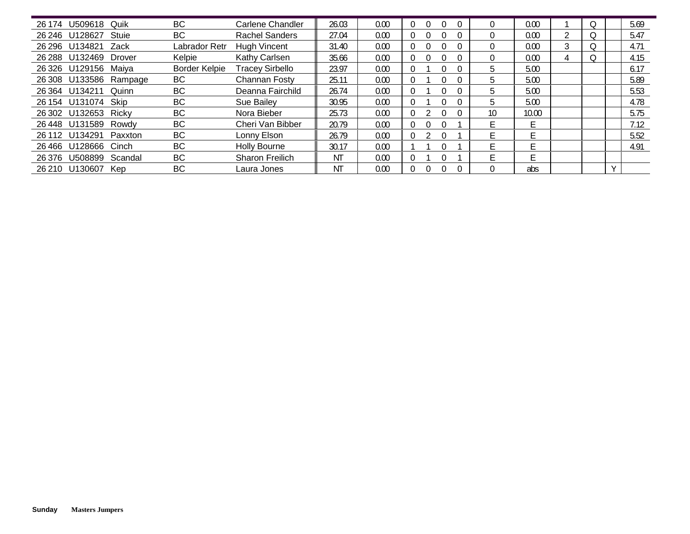| 26 174 | U509618              | Quik                   | <b>BC</b>            | <b>Carlene Chandler</b> | 26.03 | 0.00 |          |    | 0.00  |   |  | 5.69 |
|--------|----------------------|------------------------|----------------------|-------------------------|-------|------|----------|----|-------|---|--|------|
|        | 26 246 U128627       | Stuie                  | <b>BC</b>            | <b>Rachel Sanders</b>   | 27.04 | 0.00 | 0        |    | 0.00  |   |  | 5.47 |
| 26 296 | U134821              | Zack                   | Labrador Retr        | Hugh Vincent            | 31.40 | 0.00 |          |    | 0.00  | 3 |  | 4.71 |
| 26 288 | U132469              | Drover                 | Kelpie               | Kathy Carlsen           | 35.66 | 0.00 |          |    | 0.00  |   |  | 4.15 |
|        | 26 326 U129156       | Maiya                  | <b>Border Kelpie</b> | <b>Tracey Sirbello</b>  | 23.97 | 0.00 |          | h. | 5.00  |   |  | 6.17 |
|        |                      | 26 308 U133586 Rampage | BC                   | <b>Channan Fosty</b>    | 25.11 | 0.00 |          | 5  | 5.00  |   |  | 5.89 |
|        | 26 364 U134211       | Quinn                  | <b>BC</b>            | Deanna Fairchild        | 26.74 | 0.00 | $\Omega$ |    | 5.00  |   |  | 5.53 |
|        | 26 154 U131074       | Skip                   | <b>BC</b>            | Sue Bailey              | 30.95 | 0.00 |          |    | 5.00  |   |  | 4.78 |
|        | 26 302 U132653       | Ricky                  | <b>BC</b>            | Nora Bieber             | 25.73 | 0.00 | 0        | 10 | 10.00 |   |  | 5.75 |
|        | 26 448 U131589 Rowdy |                        | <b>BC</b>            | Cheri Van Bibber        | 20.79 | 0.00 | $\Omega$ |    | F     |   |  | 7.12 |
|        | 26 112 U134291       | Paxxton                | <b>BC</b>            | Lonny Elson             | 26.79 | 0.00 |          | F. | ۳     |   |  | 5.52 |
|        | 26466 U128666        | Cinch                  | <b>BC</b>            | <b>Holly Bourne</b>     | 30.17 | 0.00 |          |    | E     |   |  | 4.91 |
| 26 376 | U508899              | Scandal                | <b>BC</b>            | <b>Sharon Freilich</b>  | ΝT    | 0.00 | $\Omega$ |    | E.    |   |  |      |
| 26 210 | U130607              | <b>Kep</b>             | <b>BC</b>            | Laura Jones             | ΝT    | 0.00 |          |    | abs   |   |  |      |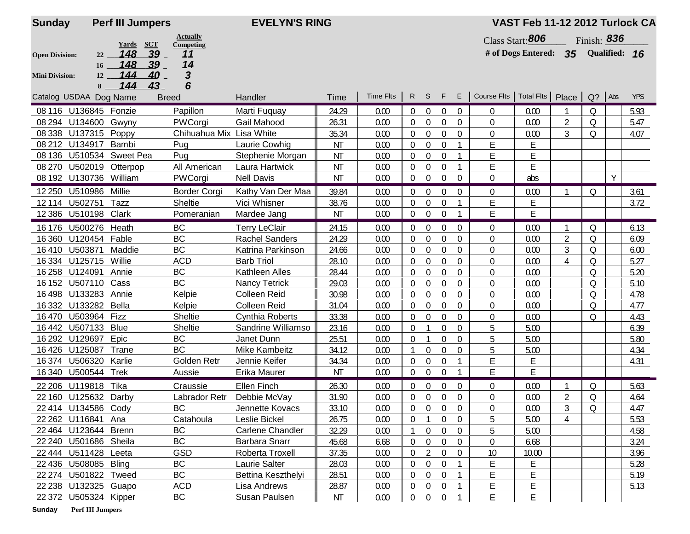| <b>Sunday</b>         |                        | <b>Perf III Jumpers</b>   |                          | <b>EVELYN'S RING</b>    |           |                  |                  |                  |                  |                  |                          | VAST Feb 11-12 2012 Turlock CA |                |             |               |            |
|-----------------------|------------------------|---------------------------|--------------------------|-------------------------|-----------|------------------|------------------|------------------|------------------|------------------|--------------------------|--------------------------------|----------------|-------------|---------------|------------|
|                       |                        |                           | <b>Actually</b>          |                         |           |                  |                  |                  |                  |                  |                          | Class Start: 806               |                | Finish: 836 |               |            |
| <b>Open Division:</b> | 22                     | Yards SCT<br>148<br>$39-$ | Competing<br>11          |                         |           |                  |                  |                  |                  |                  |                          | # of Dogs Entered: $35$        |                |             | Qualified: 16 |            |
|                       | 16                     | 148<br>$39-$              | 14                       |                         |           |                  |                  |                  |                  |                  |                          |                                |                |             |               |            |
| <b>Mini Division:</b> | 12                     | 144<br>40                 | 3                        |                         |           |                  |                  |                  |                  |                  |                          |                                |                |             |               |            |
|                       | 8                      | 144<br>43                 | 6                        |                         |           |                  |                  |                  |                  |                  |                          |                                |                |             |               |            |
|                       | Catalog USDAA Dog Name |                           | <b>Breed</b>             | Handler                 | Time      | <b>Time Flts</b> | $\mathsf{R}$     | S.               | F                | E                | Course Flts   Total Flts |                                | Place          | $Q$ ? Abs   |               | <b>YPS</b> |
| 08 116                | U136845 Fonzie         |                           | Papillon                 | Marti Fuguay            | 24.29     | 0.00             | $\mathbf{0}$     | $\overline{0}$   | $\mathbf 0$      | 0                | 0                        | 0.00                           |                | Q           |               | 5.93       |
| 08 294                | U134600                | Gwyny                     | PWCorgi                  | Gail Mahood             | 26.31     | 0.00             | 0                | 0                | $\mathbf 0$      | $\Omega$         | 0                        | 0.00                           | $\overline{2}$ | Q           |               | 5.47       |
| 08 3 38               | U137315                | Poppy                     | Chihuahua Mix Lisa White |                         | 35.34     | 0.00             | $\boldsymbol{0}$ | $\boldsymbol{0}$ | $\pmb{0}$        | 0                | 0                        | 0.00                           | 3              | Q           |               | 4.07       |
| 08 21 2               | U134917                | Bambi                     | Pug                      | Laurie Cowhig           | <b>NT</b> | 0.00             | 0                | 0                | 0                |                  | E                        | Ē                              |                |             |               |            |
| 08 136                | U510534                | <b>Sweet Pea</b>          | Pug                      | Stephenie Morgan        | <b>NT</b> | 0.00             | 0                | 0                | 0                |                  | E                        | Ë                              |                |             |               |            |
| 08 270                |                        | U502019 Otterpop          | All American             | Laura Hartwick          | <b>NT</b> | 0.00             | $\Omega$         | 0                | 0                |                  | Ë                        | Ë                              |                |             |               |            |
|                       | 08 192 U130736 William |                           | PWCorgi                  | <b>Nell Davis</b>       | <b>NT</b> | 0.00             | $\overline{0}$   | 0                | $\mathbf 0$      | $\Omega$         | $\Omega$                 | abs                            |                |             | Y             |            |
| 12 250                | U510986                | Millie                    | <b>Border Corgi</b>      | Kathy Van Der Maa       | 39.84     | 0.00             | $\Omega$         | $\Omega$         | $\Omega$         | $\Omega$         | $\Omega$                 | 0.00                           |                | Q           |               | 3.61       |
| 12 114                | U502751                | Tazz                      | Sheltie                  | Vici Whisner            | 38.76     | 0.00             | 0                | $\boldsymbol{0}$ | $\boldsymbol{0}$ |                  | E                        | Ē                              |                |             |               | 3.72       |
| 12 3 8 6              | U510198 Clark          |                           | Pomeranian               | Mardee Jang             | ΝT        | 0.00             | $\overline{0}$   | $\mathbf{0}$     | $\mathbf 0$      |                  | Ë                        | E                              |                |             |               |            |
| 16 176                | U500276                | Heath                     | <b>BC</b>                | <b>Terry LeClair</b>    | 24.15     | 0.00             | $\mathbf 0$      | 0                | $\boldsymbol{0}$ | $\boldsymbol{0}$ | $\Omega$                 | 0.00                           | 1              | Q           |               | 6.13       |
| 16 3 60               | U120454                | Fable                     | <b>BC</b>                | <b>Rachel Sanders</b>   | 24.29     | 0.00             | $\overline{0}$   | $\boldsymbol{0}$ | $\mathbf 0$      | $\boldsymbol{0}$ | $\mathbf 0$              | 0.00                           | $\overline{2}$ | Q           |               | 6.09       |
| 16410                 | U503871                | Maddie                    | <b>BC</b>                | Katrina Parkinson       | 24.66     | 0.00             | $\boldsymbol{0}$ | $\boldsymbol{0}$ | $\boldsymbol{0}$ | $\mathbf 0$      | $\mathbf 0$              | 0.00                           | 3              | Q           |               | 6.00       |
|                       | 16 334 U125715 Willie  |                           | <b>ACD</b>               | <b>Barb Triol</b>       | 28.10     | 0.00             | $\Omega$         | $\mathbf{0}$     | 0                | $\Omega$         | 0                        | 0.00                           | 4              | Q           |               | 5.27       |
| 16 25 8               | U124091                | Annie                     | <b>BC</b>                | Kathleen Alles          | 28.44     | 0.00             | $\Omega$         | 0                | 0                | $\overline{0}$   | 0                        | 0.00                           |                | Q           |               | 5.20       |
|                       | 16 152 U507110 Cass    |                           | <b>BC</b>                | <b>Nancy Tetrick</b>    | 29.03     | 0.00             | $\Omega$         | 0                | $\mathbf 0$      | $\Omega$         | $\Omega$                 | 0.00                           |                | $\circ$     |               | 5.10       |
|                       | 16 498 U133283         | Annie                     | Kelpie                   | <b>Colleen Reid</b>     | 30.98     | 0.00             | $\Omega$         | $\mathbf 0$      | $\pmb{0}$        | 0                | 0                        | 0.00                           |                | $\circ$     |               | 4.78       |
| 16 3 32               | U133282                | Bella                     | Kelpie                   | <b>Colleen Reid</b>     | 31.04     | 0.00             | $\Omega$         | 0                | $\mathbf 0$      | $\theta$         | 0                        | 0.00                           |                | 0           |               | 4.77       |
| 16470                 | U503964                | Fizz                      | Sheltie                  | Cynthia Roberts         | 33.38     | 0.00             | $\boldsymbol{0}$ | 0                | $\mathbf 0$      | $\boldsymbol{0}$ | 0                        | 0.00                           |                | 0           |               | 4.43       |
| 16442                 | U507133                | <b>Blue</b>               | Sheltie                  | Sandrine Williamso      | 23.16     | 0.00             | 0                | $\mathbf{1}$     | $\boldsymbol{0}$ | $\mathbf 0$      | 5                        | 5.00                           |                |             |               | 6.39       |
| 16 29 2               | U129697                | Epic                      | BC                       | Janet Dunn              | 25.51     | 0.00             | $\boldsymbol{0}$ | $\mathbf{1}$     | $\boldsymbol{0}$ | $\boldsymbol{0}$ | 5                        | 5.00                           |                |             |               | 5.80       |
| 16426                 | U125087                | Trane                     | <b>BC</b>                | <b>Mike Kambeitz</b>    | 34.12     | 0.00             |                  | 0                | 0                | $\theta$         | 5                        | 5.00                           |                |             |               | 4.34       |
| 16374                 | U506320                | Karlie                    | Golden Retr              | Jennie Keifer           | 34.34     | 0.00             | $\Omega$         | 0                | 0                |                  | E                        | Ε                              |                |             |               | 4.31       |
|                       | 16 340 U500544 Trek    |                           | Aussie                   | Erika Maurer            | ΝT        | 0.00             | $\overline{0}$   | $\boldsymbol{0}$ | $\mathbf 0$      |                  | E                        | E                              |                |             |               |            |
|                       | 22 206 U119818         | Tika                      | Craussie                 | Ellen Finch             | 26.30     | 0.00             | $\mathbf{0}$     | $\mathbf 0$      | $\overline{0}$   | $\overline{0}$   | $\overline{0}$           | 0.00                           |                | Q           |               | 5.63       |
|                       | 22 160 U125632 Darby   |                           | Labrador Retr            | Debbie McVay            | 31.90     | 0.00             | 0                | $\boldsymbol{0}$ | $\overline{0}$   | 0                | 0                        | 0.00                           | $\overline{2}$ | Q           |               | 4.64       |
|                       | 22 414 U134586 Cody    |                           | ВC                       | Jennette Kovacs         | 33.10     | 0.00             | $\overline{0}$   | $\overline{0}$   | $\pmb{0}$        | $\boldsymbol{0}$ | 0                        | 0.00                           | 3              | $\Omega$    |               | 4.47       |
|                       | 22 262 U116841         | Ana                       | Catahoula                | Leslie Bickel           | 26.75     | 0.00             | 0                |                  | 0                | 0                | 5                        | 5.00                           | 4              |             |               | 5.53       |
|                       | 22 464 U123644 Brenn   |                           | BC                       | <b>Carlene Chandler</b> | 32.29     | 0.00             | -1               | $\overline{0}$   | $\overline{0}$   | 0                | 5                        | 5.00                           |                |             |               | 4.58       |
|                       | 22 240 U501686 Sheila  |                           | <b>BC</b>                | Barbara Snarr           | 45.68     | 6.68             | $\bf{0}$         | $\boldsymbol{0}$ | $\overline{0}$   | 0                | 0                        | 6.68                           |                |             |               | 3.24       |
|                       | 22 444 U511428 Leeta   |                           | <b>GSD</b>               | Roberta Troxell         | 37.35     | 0.00             | $\theta$         | $\overline{2}$   | $\boldsymbol{0}$ | $\boldsymbol{0}$ | 10                       | 10.00                          |                |             |               | 3.96       |
|                       | 22 436 U508085 Bling   |                           | BC                       | Laurie Salter           | 28.03     | 0.00             | 0                | 0                | $\boldsymbol{0}$ |                  | E                        | E                              |                |             |               | 5.28       |
|                       | 22 274 U501822 Tweed   |                           | <b>BC</b>                | Bettina Keszthelyi      | 28.51     | 0.00             | 0                | $\boldsymbol{0}$ | $\overline{0}$   |                  | E                        | Ē                              |                |             |               | 5.19       |
|                       | 22 238 U132325 Guapo   |                           | <b>ACD</b>               | Lisa Andrews            | 28.87     | 0.00             | 0                | 0                | $\overline{0}$   |                  | Ε                        | E                              |                |             |               | 5.13       |
|                       | 22 372 U505324 Kipper  |                           | BC                       | Susan Paulsen           | ΝT        | 0.00             | $\overline{0}$   | $\boldsymbol{0}$ | $\overline{0}$   |                  | E                        | E                              |                |             |               |            |